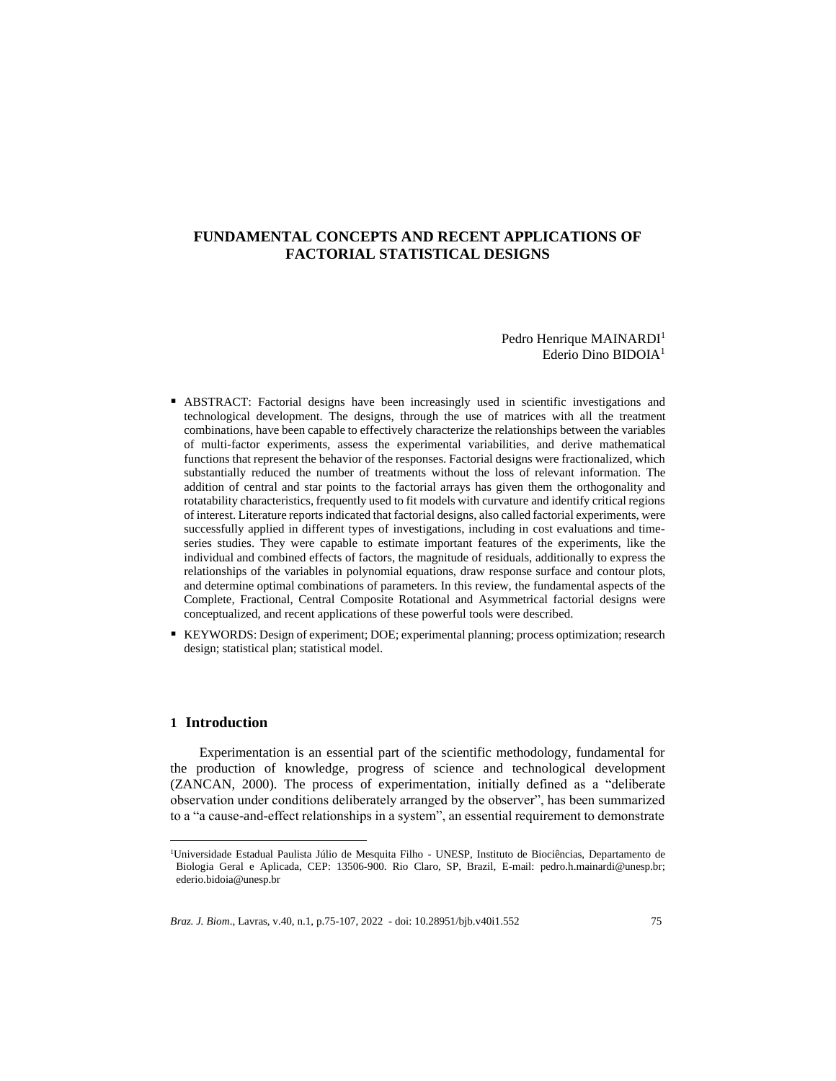# **FUNDAMENTAL CONCEPTS AND RECENT APPLICATIONS OF FACTORIAL STATISTICAL DESIGNS**

Pedro Henrique MAINARDI<sup>1</sup> Ederio Dino BIDOIA<sup>1</sup>

- **EXECURACT:** Factorial designs have been increasingly used in scientific investigations and technological development. The designs, through the use of matrices with all the treatment combinations, have been capable to effectively characterize the relationships between the variables of multi-factor experiments, assess the experimental variabilities, and derive mathematical functions that represent the behavior of the responses. Factorial designs were fractionalized, which substantially reduced the number of treatments without the loss of relevant information. The addition of central and star points to the factorial arrays has given them the orthogonality and rotatability characteristics, frequently used to fit models with curvature and identify critical regions of interest. Literature reports indicated that factorial designs, also called factorial experiments, were successfully applied in different types of investigations, including in cost evaluations and timeseries studies. They were capable to estimate important features of the experiments, like the individual and combined effects of factors, the magnitude of residuals, additionally to express the relationships of the variables in polynomial equations, draw response surface and contour plots, and determine optimal combinations of parameters. In this review, the fundamental aspects of the Complete, Fractional, Central Composite Rotational and Asymmetrical factorial designs were conceptualized, and recent applications of these powerful tools were described.
- KEYWORDS: Design of experiment; DOE; experimental planning; process optimization; research design; statistical plan; statistical model.

## **1 Introduction**

Experimentation is an essential part of the scientific methodology, fundamental for the production of knowledge, progress of science and technological development (ZANCAN, 2000). The process of experimentation, initially defined as a "deliberate observation under conditions deliberately arranged by the observer", has been summarized to a "a cause-and-effect relationships in a system", an essential requirement to demonstrate

<sup>&</sup>lt;sup>1</sup>Universidade Estadual Paulista Júlio de Mesquita Filho - UNESP, Instituto de Biociências, Departamento de Biologia Geral e Aplicada, CEP: 13506-900. Rio Claro, SP, Brazil, E-mail: pedro.h.mainardi@unesp.br; ederio.bidoia@unesp.br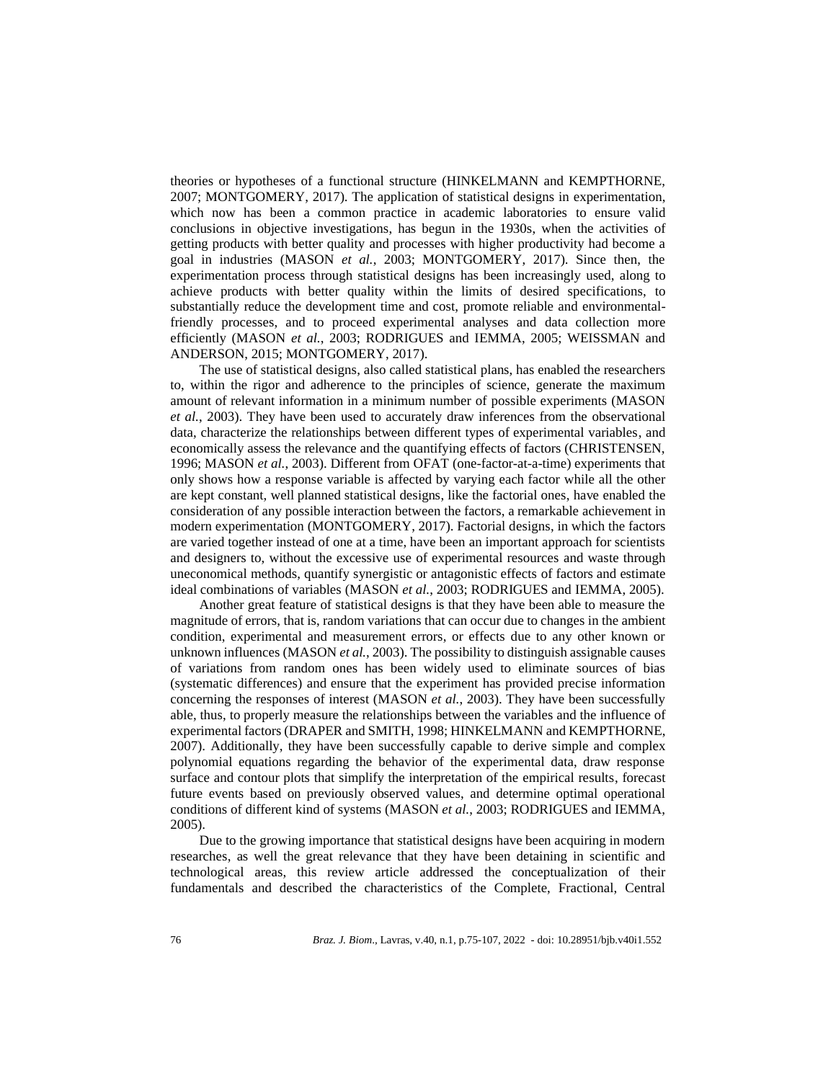theories or hypotheses of a functional structure (HINKELMANN and KEMPTHORNE, 2007; MONTGOMERY, 2017). The application of statistical designs in experimentation, which now has been a common practice in academic laboratories to ensure valid conclusions in objective investigations, has begun in the 1930s, when the activities of getting products with better quality and processes with higher productivity had become a goal in industries (MASON *et al.*, 2003; MONTGOMERY, 2017). Since then, the experimentation process through statistical designs has been increasingly used, along to achieve products with better quality within the limits of desired specifications, to substantially reduce the development time and cost, promote reliable and environmentalfriendly processes, and to proceed experimental analyses and data collection more efficiently (MASON *et al.*, 2003; RODRIGUES and IEMMA, 2005; WEISSMAN and ANDERSON, 2015; MONTGOMERY, 2017).

The use of statistical designs, also called statistical plans, has enabled the researchers to, within the rigor and adherence to the principles of science, generate the maximum amount of relevant information in a minimum number of possible experiments (MASON *et al.*, 2003). They have been used to accurately draw inferences from the observational data, characterize the relationships between different types of experimental variables, and economically assess the relevance and the quantifying effects of factors (CHRISTENSEN, 1996; MASON *et al.*, 2003). Different from OFAT (one-factor-at-a-time) experiments that only shows how a response variable is affected by varying each factor while all the other are kept constant, well planned statistical designs, like the factorial ones, have enabled the consideration of any possible interaction between the factors, a remarkable achievement in modern experimentation (MONTGOMERY, 2017). Factorial designs, in which the factors are varied together instead of one at a time, have been an important approach for scientists and designers to, without the excessive use of experimental resources and waste through uneconomical methods, quantify synergistic or antagonistic effects of factors and estimate ideal combinations of variables (MASON *et al.*, 2003; RODRIGUES and IEMMA, 2005).

Another great feature of statistical designs is that they have been able to measure the magnitude of errors, that is, random variations that can occur due to changes in the ambient condition, experimental and measurement errors, or effects due to any other known or unknown influences (MASON *et al.*, 2003). The possibility to distinguish assignable causes of variations from random ones has been widely used to eliminate sources of bias (systematic differences) and ensure that the experiment has provided precise information concerning the responses of interest (MASON *et al.*, 2003). They have been successfully able, thus, to properly measure the relationships between the variables and the influence of experimental factors (DRAPER and SMITH, 1998; HINKELMANN and KEMPTHORNE, 2007). Additionally, they have been successfully capable to derive simple and complex polynomial equations regarding the behavior of the experimental data, draw response surface and contour plots that simplify the interpretation of the empirical results, forecast future events based on previously observed values, and determine optimal operational conditions of different kind of systems (MASON *et al.*, 2003; RODRIGUES and IEMMA, 2005).

Due to the growing importance that statistical designs have been acquiring in modern researches, as well the great relevance that they have been detaining in scientific and technological areas, this review article addressed the conceptualization of their fundamentals and described the characteristics of the Complete, Fractional, Central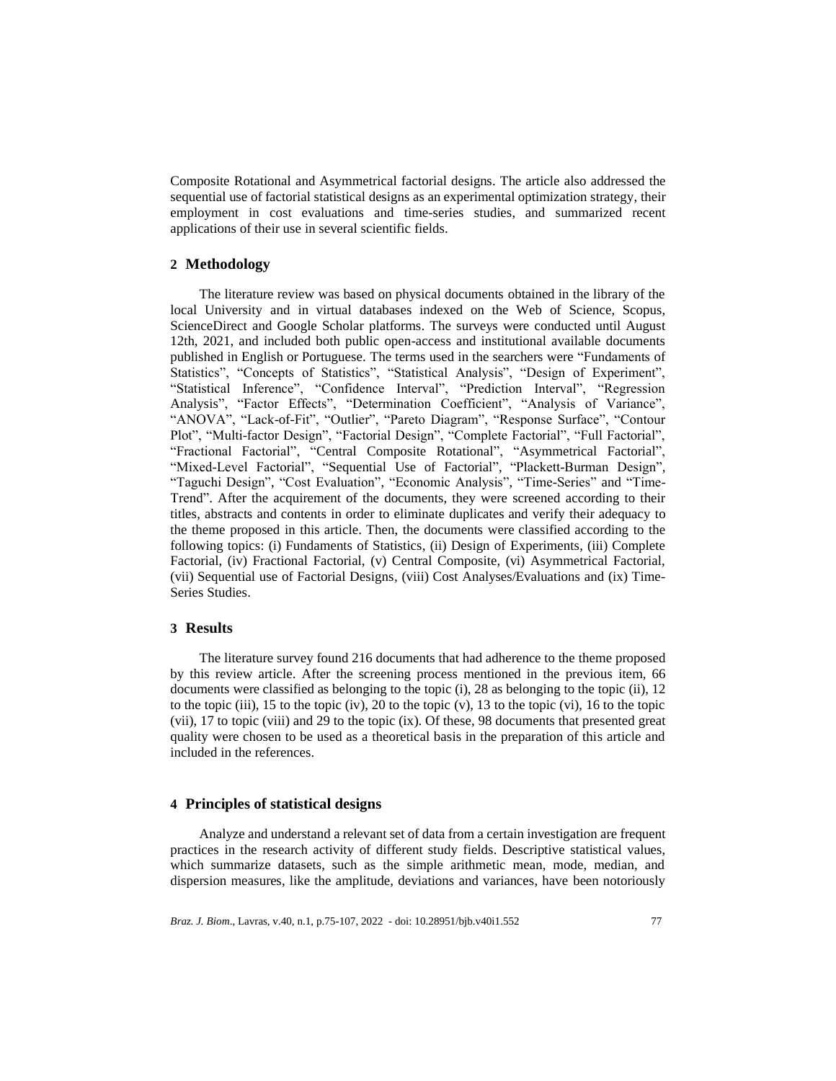Composite Rotational and Asymmetrical factorial designs. The article also addressed the sequential use of factorial statistical designs as an experimental optimization strategy, their employment in cost evaluations and time-series studies, and summarized recent applications of their use in several scientific fields.

## **2 Methodology**

The literature review was based on physical documents obtained in the library of the local University and in virtual databases indexed on the Web of Science, Scopus, ScienceDirect and Google Scholar platforms. The surveys were conducted until August 12th, 2021, and included both public open-access and institutional available documents published in English or Portuguese. The terms used in the searchers were "Fundaments of Statistics", "Concepts of Statistics", "Statistical Analysis", "Design of Experiment", "Statistical Inference", "Confidence Interval", "Prediction Interval", "Regression Analysis", "Factor Effects", "Determination Coefficient", "Analysis of Variance", "ANOVA", "Lack-of-Fit", "Outlier", "Pareto Diagram", "Response Surface", "Contour Plot", "Multi-factor Design", "Factorial Design", "Complete Factorial", "Full Factorial", "Fractional Factorial", "Central Composite Rotational", "Asymmetrical Factorial", "Mixed-Level Factorial", "Sequential Use of Factorial", "Plackett-Burman Design", "Taguchi Design", "Cost Evaluation", "Economic Analysis", "Time-Series" and "Time-Trend". After the acquirement of the documents, they were screened according to their titles, abstracts and contents in order to eliminate duplicates and verify their adequacy to the theme proposed in this article. Then, the documents were classified according to the following topics: (i) Fundaments of Statistics, (ii) Design of Experiments, (iii) Complete Factorial, (iv) Fractional Factorial, (v) Central Composite, (vi) Asymmetrical Factorial, (vii) Sequential use of Factorial Designs, (viii) Cost Analyses/Evaluations and (ix) Time-Series Studies.

## **3 Results**

The literature survey found 216 documents that had adherence to the theme proposed by this review article. After the screening process mentioned in the previous item, 66 documents were classified as belonging to the topic (i), 28 as belonging to the topic (ii), 12 to the topic (iii), 15 to the topic (iv), 20 to the topic (v), 13 to the topic (vi), 16 to the topic (vii), 17 to topic (viii) and 29 to the topic (ix). Of these, 98 documents that presented great quality were chosen to be used as a theoretical basis in the preparation of this article and included in the references.

## **4 Principles of statistical designs**

Analyze and understand a relevant set of data from a certain investigation are frequent practices in the research activity of different study fields. Descriptive statistical values, which summarize datasets, such as the simple arithmetic mean, mode, median, and dispersion measures, like the amplitude, deviations and variances, have been notoriously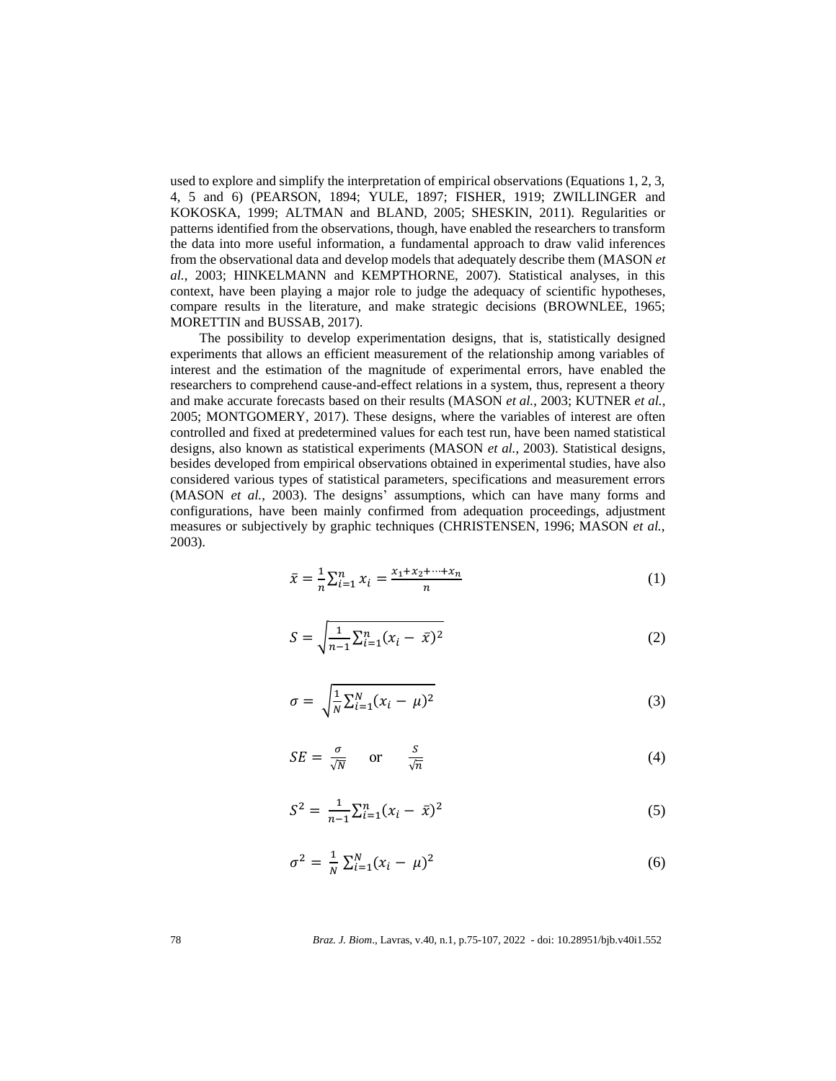used to explore and simplify the interpretation of empirical observations (Equations 1, 2, 3, 4, 5 and 6) (PEARSON, 1894; YULE, 1897; FISHER, 1919; ZWILLINGER and KOKOSKA, 1999; ALTMAN and BLAND, 2005; SHESKIN, 2011). Regularities or patterns identified from the observations, though, have enabled the researchers to transform the data into more useful information, a fundamental approach to draw valid inferences from the observational data and develop models that adequately describe them (MASON *et al.*, 2003; HINKELMANN and KEMPTHORNE, 2007). Statistical analyses, in this context, have been playing a major role to judge the adequacy of scientific hypotheses, compare results in the literature, and make strategic decisions (BROWNLEE, 1965; MORETTIN and BUSSAB, 2017).

The possibility to develop experimentation designs, that is, statistically designed experiments that allows an efficient measurement of the relationship among variables of interest and the estimation of the magnitude of experimental errors, have enabled the researchers to comprehend cause-and-effect relations in a system, thus, represent a theory and make accurate forecasts based on their results (MASON *et al.*, 2003; KUTNER *et al.*, 2005; MONTGOMERY, 2017). These designs, where the variables of interest are often controlled and fixed at predetermined values for each test run, have been named statistical designs, also known as statistical experiments (MASON *et al.*, 2003). Statistical designs, besides developed from empirical observations obtained in experimental studies, have also considered various types of statistical parameters, specifications and measurement errors (MASON *et al.*, 2003). The designs' assumptions, which can have many forms and configurations, have been mainly confirmed from adequation proceedings, adjustment measures or subjectively by graphic techniques (CHRISTENSEN, 1996; MASON *et al.*, 2003).

$$
\bar{x} = \frac{1}{n} \sum_{i=1}^{n} x_i = \frac{x_1 + x_2 + \dots + x_n}{n}
$$
 (1)

$$
S = \sqrt{\frac{1}{n-1} \sum_{i=1}^{n} (x_i - \bar{x})^2}
$$
 (2)

$$
\sigma = \sqrt{\frac{1}{N} \sum_{i=1}^{N} (x_i - \mu)^2}
$$
\n(3)

$$
SE = \frac{\sigma}{\sqrt{N}} \quad \text{or} \quad \frac{S}{\sqrt{n}} \tag{4}
$$

$$
S^2 = \frac{1}{n-1} \sum_{i=1}^n (x_i - \bar{x})^2
$$
 (5)

$$
\sigma^2 = \frac{1}{N} \sum_{i=1}^{N} (x_i - \mu)^2
$$
 (6)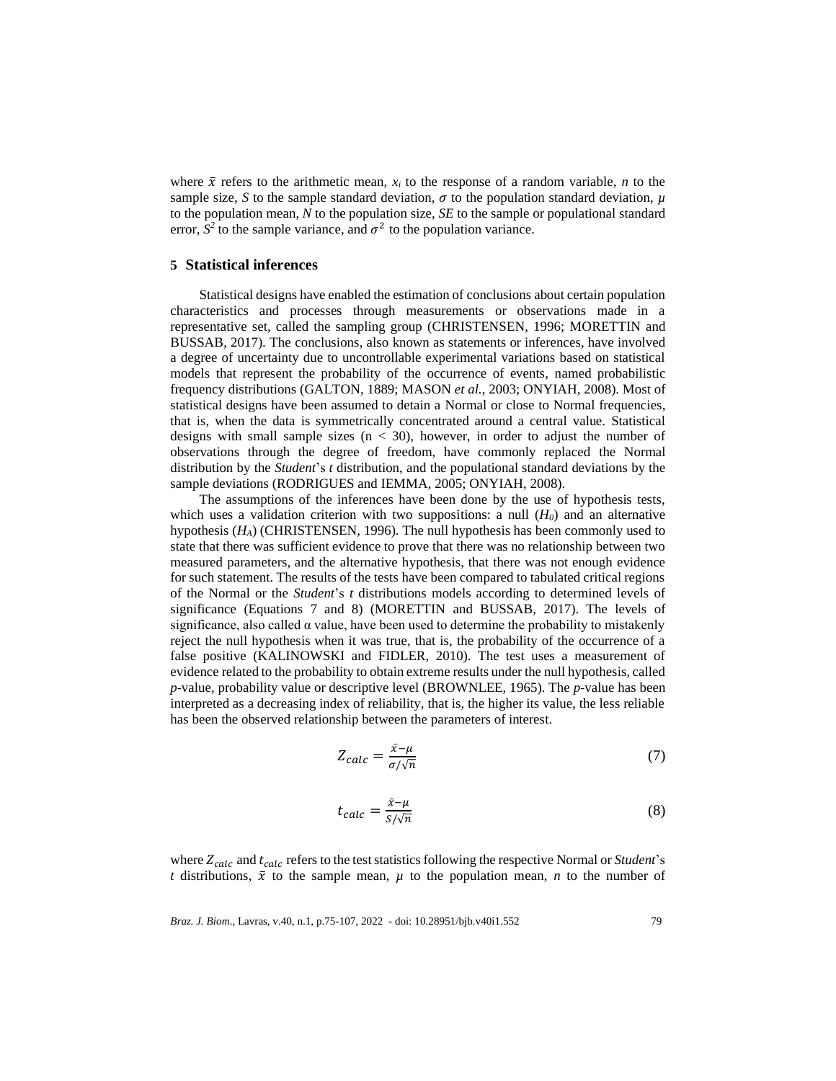where  $\bar{x}$  refers to the arithmetic mean,  $x_i$  to the response of a random variable, *n* to the sample size, *S* to the sample standard deviation,  $\sigma$  to the population standard deviation,  $\mu$ to the population mean, *N* to the population size, *SE* to the sample or populational standard error,  $S^2$  to the sample variance, and  $\sigma^2$  to the population variance.

### **5 Statistical inferences**

Statistical designs have enabled the estimation of conclusions about certain population characteristics and processes through measurements or observations made in a representative set, called the sampling group (CHRISTENSEN, 1996; MORETTIN and BUSSAB, 2017). The conclusions, also known as statements or inferences, have involved a degree of uncertainty due to uncontrollable experimental variations based on statistical models that represent the probability of the occurrence of events, named probabilistic frequency distributions (GALTON, 1889; MASON *et al.*, 2003; ONYIAH, 2008). Most of statistical designs have been assumed to detain a Normal or close to Normal frequencies, that is, when the data is symmetrically concentrated around a central value. Statistical designs with small sample sizes  $(n < 30)$ , however, in order to adjust the number of observations through the degree of freedom, have commonly replaced the Normal distribution by the *Student*'s *t* distribution, and the populational standard deviations by the sample deviations (RODRIGUES and IEMMA, 2005; ONYIAH, 2008).

The assumptions of the inferences have been done by the use of hypothesis tests, which uses a validation criterion with two suppositions: a null  $(H<sub>0</sub>)$  and an alternative hypothesis (*HA*) (CHRISTENSEN, 1996). The null hypothesis has been commonly used to state that there was sufficient evidence to prove that there was no relationship between two measured parameters, and the alternative hypothesis, that there was not enough evidence for such statement. The results of the tests have been compared to tabulated critical regions of the Normal or the *Student*'s *t* distributions models according to determined levels of significance (Equations 7 and 8) (MORETTIN and BUSSAB, 2017). The levels of significance, also called  $\alpha$  value, have been used to determine the probability to mistakenly reject the null hypothesis when it was true, that is, the probability of the occurrence of a false positive (KALINOWSKI and FIDLER, 2010). The test uses a measurement of evidence related to the probability to obtain extreme results under the null hypothesis, called *p*-value, probability value or descriptive level (BROWNLEE, 1965). The *p*-value has been interpreted as a decreasing index of reliability, that is, the higher its value, the less reliable has been the observed relationship between the parameters of interest.

$$
Z_{calc} = \frac{\bar{x} - \mu}{\sigma / \sqrt{n}}\tag{7}
$$

$$
t_{calc} = \frac{\bar{x} - \mu}{s / \sqrt{n}}\tag{8}
$$

where  $Z_{calc}$  and  $t_{calc}$  refers to the test statistics following the respective Normal or *Student's t* distributions,  $\bar{x}$  to the sample mean,  $\mu$  to the population mean, *n* to the number of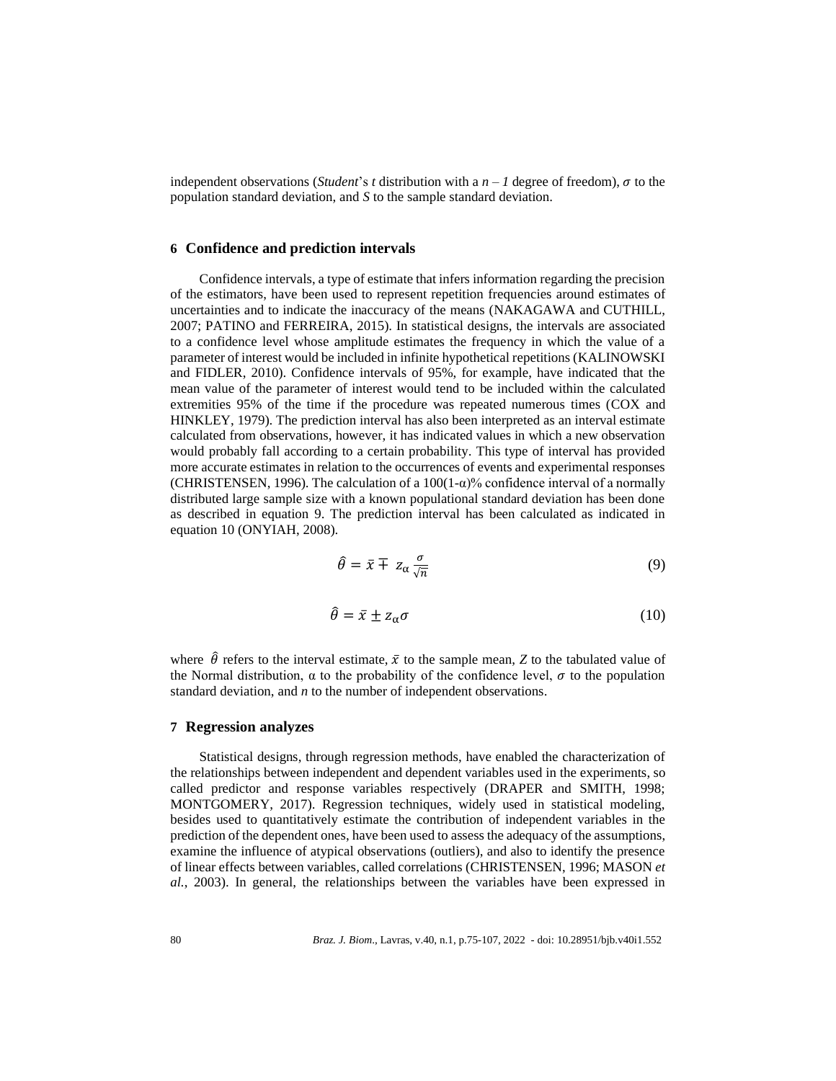independent observations (*Student*'s *t* distribution with a  $n - 1$  degree of freedom),  $\sigma$  to the population standard deviation, and *S* to the sample standard deviation.

### **6 Confidence and prediction intervals**

Confidence intervals, a type of estimate that infers information regarding the precision of the estimators, have been used to represent repetition frequencies around estimates of uncertainties and to indicate the inaccuracy of the means (NAKAGAWA and CUTHILL, 2007; PATINO and FERREIRA, 2015). In statistical designs, the intervals are associated to a confidence level whose amplitude estimates the frequency in which the value of a parameter of interest would be included in infinite hypothetical repetitions (KALINOWSKI and FIDLER, 2010). Confidence intervals of 95%, for example, have indicated that the mean value of the parameter of interest would tend to be included within the calculated extremities 95% of the time if the procedure was repeated numerous times (COX and HINKLEY, 1979). The prediction interval has also been interpreted as an interval estimate calculated from observations, however, it has indicated values in which a new observation would probably fall according to a certain probability. This type of interval has provided more accurate estimates in relation to the occurrences of events and experimental responses (CHRISTENSEN, 1996). The calculation of a  $100(1-\alpha)$ % confidence interval of a normally distributed large sample size with a known populational standard deviation has been done as described in equation 9. The prediction interval has been calculated as indicated in equation 10 (ONYIAH, 2008).

$$
\hat{\theta} = \bar{x} \mp z_{\alpha} \frac{\sigma}{\sqrt{n}} \tag{9}
$$

$$
\hat{\theta} = \bar{x} \pm z_{\alpha} \sigma \tag{10}
$$

where  $\hat{\theta}$  refers to the interval estimate,  $\bar{x}$  to the sample mean, *Z* to the tabulated value of the Normal distribution,  $\alpha$  to the probability of the confidence level,  $\sigma$  to the population standard deviation, and *n* to the number of independent observations.

### **7 Regression analyzes**

Statistical designs, through regression methods, have enabled the characterization of the relationships between independent and dependent variables used in the experiments, so called predictor and response variables respectively (DRAPER and SMITH, 1998; MONTGOMERY, 2017). Regression techniques, widely used in statistical modeling, besides used to quantitatively estimate the contribution of independent variables in the prediction of the dependent ones, have been used to assess the adequacy of the assumptions, examine the influence of atypical observations (outliers), and also to identify the presence of linear effects between variables, called correlations (CHRISTENSEN, 1996; MASON *et al.*, 2003). In general, the relationships between the variables have been expressed in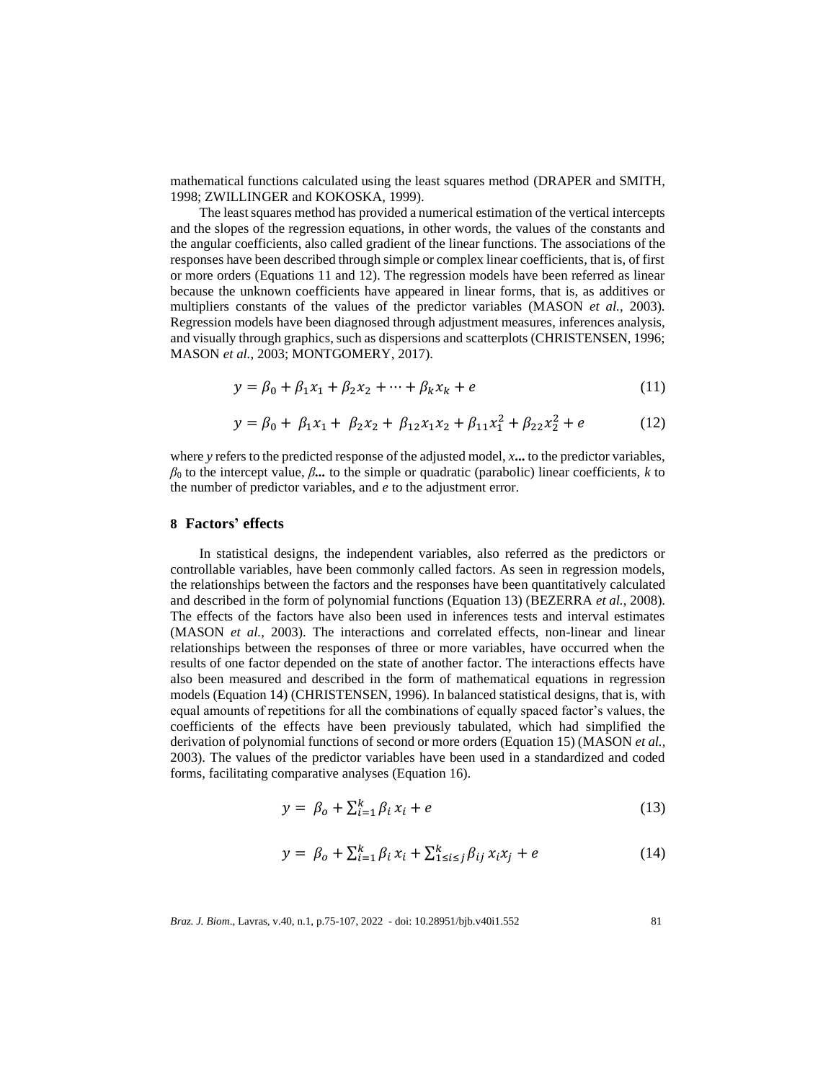mathematical functions calculated using the least squares method (DRAPER and SMITH, 1998; ZWILLINGER and KOKOSKA, 1999).

The least squares method has provided a numerical estimation of the vertical intercepts and the slopes of the regression equations, in other words, the values of the constants and the angular coefficients, also called gradient of the linear functions. The associations of the responses have been described through simple or complex linear coefficients, that is, of first or more orders (Equations 11 and 12). The regression models have been referred as linear because the unknown coefficients have appeared in linear forms, that is, as additives or multipliers constants of the values of the predictor variables (MASON *et al.*, 2003). Regression models have been diagnosed through adjustment measures, inferences analysis, and visually through graphics, such as dispersions and scatterplots (CHRISTENSEN, 1996; MASON *et al.*, 2003; MONTGOMERY, 2017).

$$
y = \beta_0 + \beta_1 x_1 + \beta_2 x_2 + \dots + \beta_k x_k + e \tag{11}
$$

$$
y = \beta_0 + \beta_1 x_1 + \beta_2 x_2 + \beta_{12} x_1 x_2 + \beta_{11} x_1^2 + \beta_{22} x_2^2 + e \tag{12}
$$

where *y* refers to the predicted response of the adjusted model, *x***...**to the predictor variables, *β*<sup>0</sup> to the intercept value, *β...* to the simple or quadratic (parabolic) linear coefficients, *k* to the number of predictor variables, and *e* to the adjustment error.

#### **8 Factors' effects**

In statistical designs, the independent variables, also referred as the predictors or controllable variables, have been commonly called factors. As seen in regression models, the relationships between the factors and the responses have been quantitatively calculated and described in the form of polynomial functions (Equation 13) (BEZERRA *et al.*, 2008). The effects of the factors have also been used in inferences tests and interval estimates (MASON *et al.*, 2003). The interactions and correlated effects, non-linear and linear relationships between the responses of three or more variables, have occurred when the results of one factor depended on the state of another factor. The interactions effects have also been measured and described in the form of mathematical equations in regression models (Equation 14) (CHRISTENSEN, 1996). In balanced statistical designs, that is, with equal amounts of repetitions for all the combinations of equally spaced factor's values, the coefficients of the effects have been previously tabulated, which had simplified the derivation of polynomial functions of second or more orders (Equation 15) (MASON *et al.*, 2003). The values of the predictor variables have been used in a standardized and coded forms, facilitating comparative analyses (Equation 16).

$$
y = \beta_o + \sum_{i=1}^{k} \beta_i x_i + e \tag{13}
$$

$$
y = \beta_o + \sum_{i=1}^{k} \beta_i x_i + \sum_{1 \le i \le j}^{k} \beta_{ij} x_i x_j + e \tag{14}
$$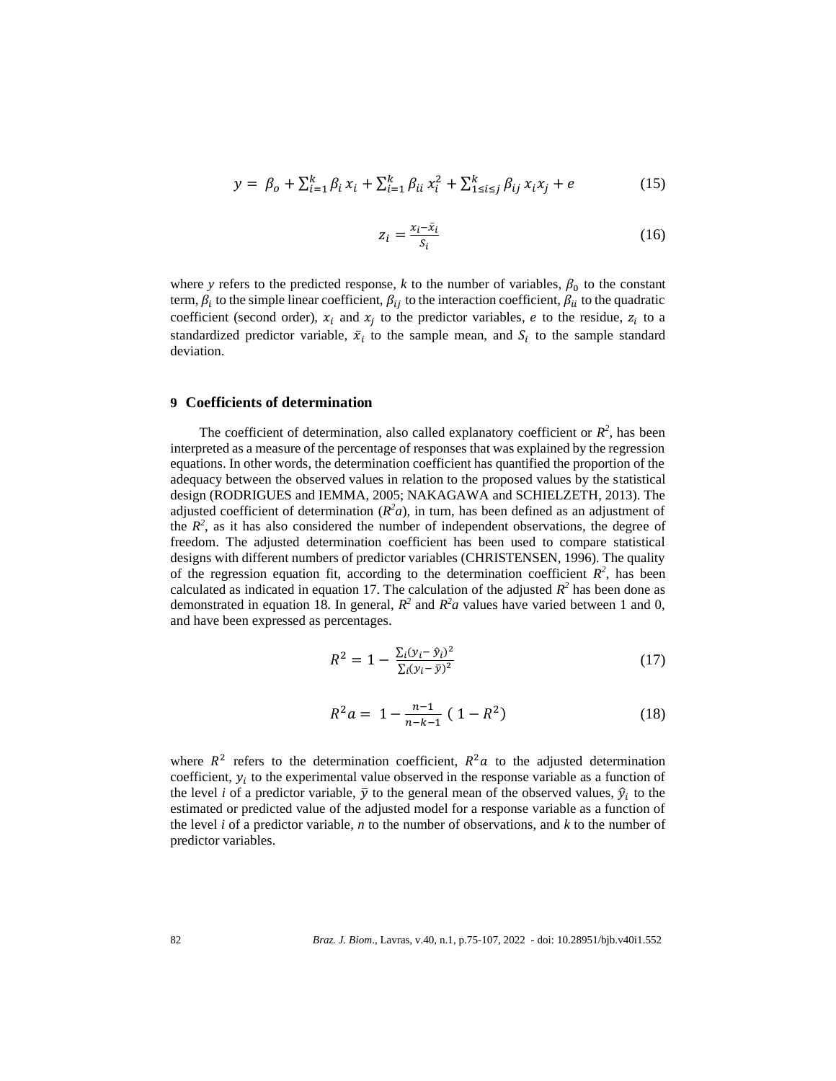$$
y = \beta_o + \sum_{i=1}^{k} \beta_i x_i + \sum_{i=1}^{k} \beta_{ii} x_i^2 + \sum_{1 \le i \le j}^{k} \beta_{ij} x_i x_j + e \tag{15}
$$

$$
z_i = \frac{x_i - \bar{x}_i}{s_i} \tag{16}
$$

where *y* refers to the predicted response, *k* to the number of variables,  $\beta_0$  to the constant term,  $\beta_i$  to the simple linear coefficient,  $\beta_{ij}$  to the interaction coefficient,  $\beta_{ii}$  to the quadratic coefficient (second order),  $x_i$  and  $x_j$  to the predictor variables, e to the residue,  $z_i$  to a standardized predictor variable,  $\bar{x}_i$  to the sample mean, and  $S_i$  to the sample standard deviation.

#### **9 Coefficients of determination**

The coefficient of determination, also called explanatory coefficient or  $R^2$ , has been interpreted as a measure of the percentage of responses that was explained by the regression equations. In other words, the determination coefficient has quantified the proportion of the adequacy between the observed values in relation to the proposed values by the statistical design (RODRIGUES and IEMMA, 2005; NAKAGAWA and SCHIELZETH, 2013). The adjusted coefficient of determination  $(R^2a)$ , in turn, has been defined as an adjustment of the  $R^2$ , as it has also considered the number of independent observations, the degree of freedom. The adjusted determination coefficient has been used to compare statistical designs with different numbers of predictor variables (CHRISTENSEN, 1996). The quality of the regression equation fit, according to the determination coefficient  $R^2$ , has been calculated as indicated in equation 17. The calculation of the adjusted  $R^2$  has been done as demonstrated in equation 18. In general,  $R^2$  and  $R^2a$  values have varied between 1 and 0, and have been expressed as percentages.

$$
R^{2} = 1 - \frac{\sum_{i}(y_{i} - \hat{y}_{i})^{2}}{\sum_{i}(y_{i} - \bar{y})^{2}}
$$
(17)

$$
R^2 a = 1 - \frac{n-1}{n-k-1} (1 - R^2)
$$
 (18)

where  $R^2$  refers to the determination coefficient,  $R^2a$  to the adjusted determination coefficient,  $y_i$  to the experimental value observed in the response variable as a function of the level *i* of a predictor variable,  $\bar{y}$  to the general mean of the observed values,  $\hat{y}_i$  to the estimated or predicted value of the adjusted model for a response variable as a function of the level *i* of a predictor variable, *n* to the number of observations, and *k* to the number of predictor variables.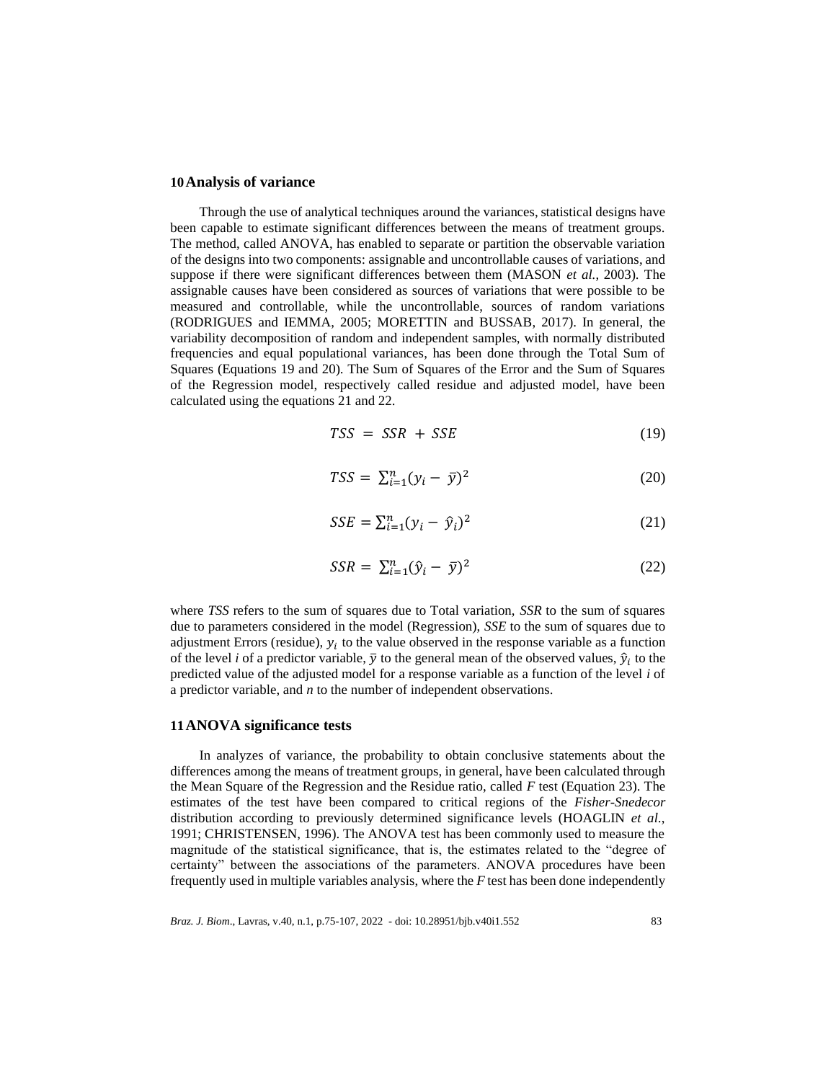#### **10Analysis of variance**

Through the use of analytical techniques around the variances, statistical designs have been capable to estimate significant differences between the means of treatment groups. The method, called ANOVA, has enabled to separate or partition the observable variation of the designs into two components: assignable and uncontrollable causes of variations, and suppose if there were significant differences between them (MASON *et al.*, 2003). The assignable causes have been considered as sources of variations that were possible to be measured and controllable, while the uncontrollable, sources of random variations (RODRIGUES and IEMMA, 2005; MORETTIN and BUSSAB, 2017). In general, the variability decomposition of random and independent samples, with normally distributed frequencies and equal populational variances, has been done through the Total Sum of Squares (Equations 19 and 20). The Sum of Squares of the Error and the Sum of Squares of the Regression model, respectively called residue and adjusted model, have been calculated using the equations 21 and 22.

$$
TSS = SSR + SSE \tag{19}
$$

$$
TSS = \sum_{i=1}^{n} (y_i - \bar{y})^2
$$
 (20)

$$
SSE = \sum_{i=1}^{n} (y_i - \hat{y}_i)^2
$$
 (21)

$$
SSR = \sum_{i=1}^{n} (\hat{y}_i - \bar{y})^2
$$
 (22)

where *TSS* refers to the sum of squares due to Total variation, *SSR* to the sum of squares due to parameters considered in the model (Regression), *SSE* to the sum of squares due to adjustment Errors (residue),  $y_i$  to the value observed in the response variable as a function of the level *i* of a predictor variable,  $\bar{y}$  to the general mean of the observed values,  $\hat{y}_i$  to the predicted value of the adjusted model for a response variable as a function of the level *i* of a predictor variable, and *n* to the number of independent observations.

#### **11ANOVA significance tests**

In analyzes of variance, the probability to obtain conclusive statements about the differences among the means of treatment groups, in general, have been calculated through the Mean Square of the Regression and the Residue ratio, called *F* test (Equation 23). The estimates of the test have been compared to critical regions of the *Fisher-Snedecor* distribution according to previously determined significance levels (HOAGLIN *et al.*, 1991; CHRISTENSEN, 1996). The ANOVA test has been commonly used to measure the magnitude of the statistical significance, that is, the estimates related to the "degree of certainty" between the associations of the parameters. ANOVA procedures have been frequently used in multiple variables analysis, where the *F* test has been done independently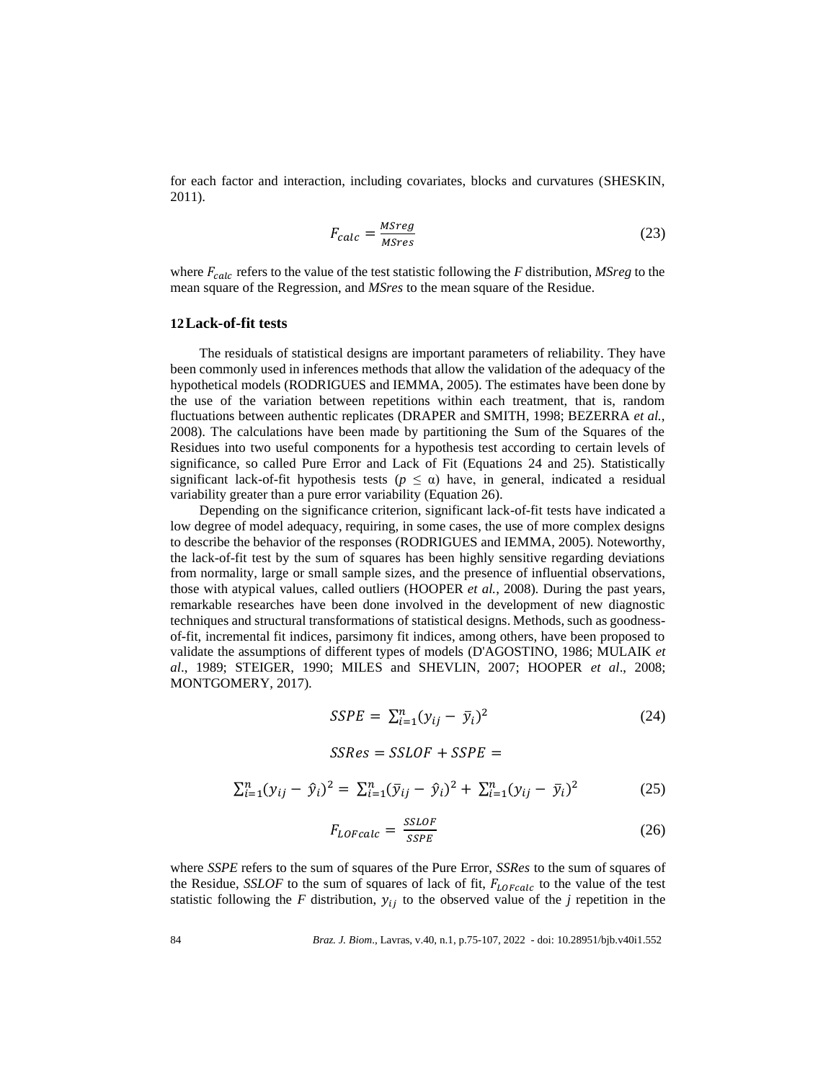for each factor and interaction, including covariates, blocks and curvatures (SHESKIN, 2011).

$$
F_{calc} = \frac{MSreg}{MSres} \tag{23}
$$

where  $F_{calc}$  refers to the value of the test statistic following the *F* distribution, *MSreg* to the mean square of the Regression, and *MSres* to the mean square of the Residue.

### **12Lack-of-fit tests**

The residuals of statistical designs are important parameters of reliability. They have been commonly used in inferences methods that allow the validation of the adequacy of the hypothetical models (RODRIGUES and IEMMA, 2005). The estimates have been done by the use of the variation between repetitions within each treatment, that is, random fluctuations between authentic replicates (DRAPER and SMITH, 1998; BEZERRA *et al.*, 2008). The calculations have been made by partitioning the Sum of the Squares of the Residues into two useful components for a hypothesis test according to certain levels of significance, so called Pure Error and Lack of Fit (Equations 24 and 25). Statistically significant lack-of-fit hypothesis tests ( $p \leq \alpha$ ) have, in general, indicated a residual variability greater than a pure error variability (Equation 26).

Depending on the significance criterion, significant lack-of-fit tests have indicated a low degree of model adequacy, requiring, in some cases, the use of more complex designs to describe the behavior of the responses (RODRIGUES and IEMMA, 2005). Noteworthy, the lack-of-fit test by the sum of squares has been highly sensitive regarding deviations from normality, large or small sample sizes, and the presence of influential observations, those with atypical values, called outliers (HOOPER *et al.*, 2008). During the past years, remarkable researches have been done involved in the development of new diagnostic techniques and structural transformations of statistical designs. Methods, such as goodnessof-fit, incremental fit indices, parsimony fit indices, among others, have been proposed to validate the assumptions of different types of models (D'AGOSTINO, 1986; MULAIK *et al*., 1989; STEIGER, 1990; MILES and SHEVLIN, 2007; HOOPER *et al*., 2008; MONTGOMERY, 2017).

$$
SSPE = \sum_{i=1}^{n} (y_{ij} - \bar{y}_i)^2
$$
 (24)

$$
SSRes = SSLOF + SSPE =
$$

$$
\sum_{i=1}^{n} (y_{ij} - \hat{y}_i)^2 = \sum_{i=1}^{n} (\bar{y}_{ij} - \hat{y}_i)^2 + \sum_{i=1}^{n} (y_{ij} - \bar{y}_i)^2
$$
(25)

$$
F_{LOFcalc} = \frac{SSLOF}{SSPE} \tag{26}
$$

where *SSPE* refers to the sum of squares of the Pure Error, *SSRes* to the sum of squares of the Residue, *SSLOF* to the sum of squares of lack of fit,  $F_{LOFcalc}$  to the value of the test statistic following the  $F$  distribution,  $y_{ij}$  to the observed value of the  $j$  repetition in the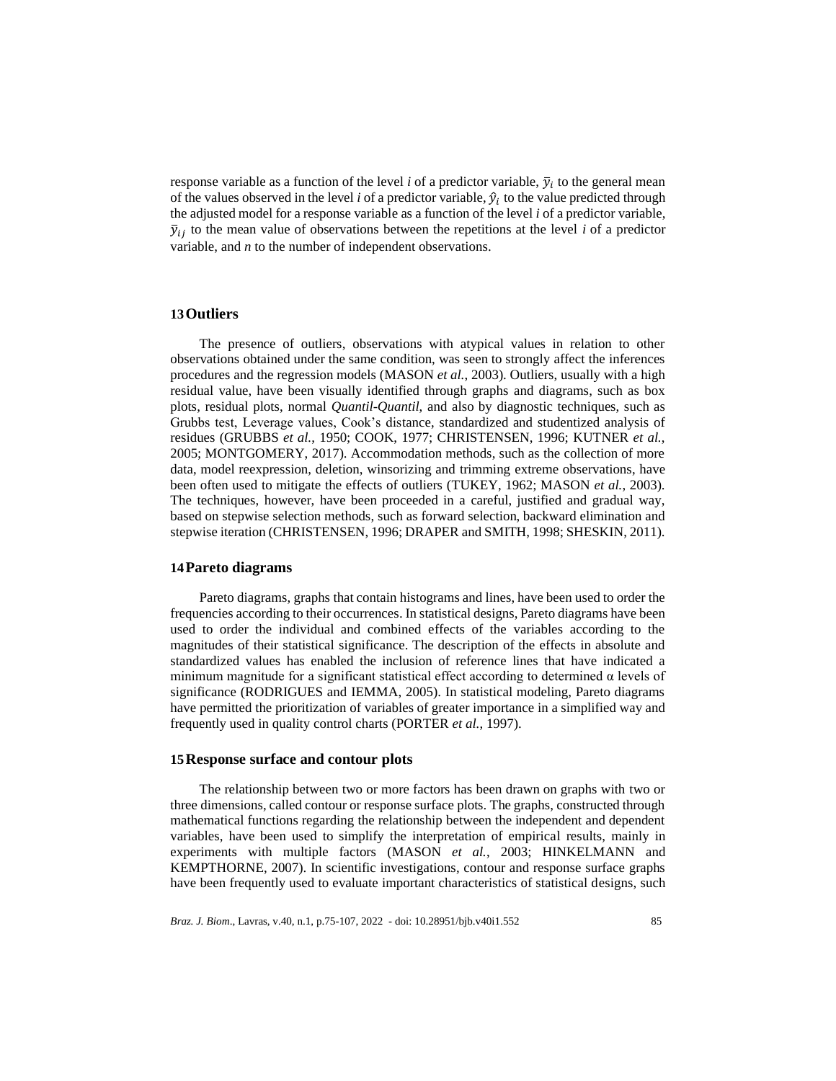response variable as a function of the level  $i$  of a predictor variable,  $\bar{y}_i$  to the general mean of the values observed in the level  $i$  of a predictor variable,  $\hat{y}_i$  to the value predicted through the adjusted model for a response variable as a function of the level *i* of a predictor variable,  $\bar{y}_{ij}$  to the mean value of observations between the repetitions at the level *i* of a predictor variable, and *n* to the number of independent observations.

## **13Outliers**

The presence of outliers, observations with atypical values in relation to other observations obtained under the same condition, was seen to strongly affect the inferences procedures and the regression models (MASON *et al.*, 2003). Outliers, usually with a high residual value, have been visually identified through graphs and diagrams, such as box plots, residual plots, normal *Quantil-Quantil*, and also by diagnostic techniques, such as Grubbs test, Leverage values, Cook's distance, standardized and studentized analysis of residues (GRUBBS *et al.*, 1950; COOK, 1977; CHRISTENSEN, 1996; KUTNER *et al.*, 2005; MONTGOMERY, 2017). Accommodation methods, such as the collection of more data, model reexpression, deletion, winsorizing and trimming extreme observations, have been often used to mitigate the effects of outliers (TUKEY, 1962; MASON *et al.*, 2003). The techniques, however, have been proceeded in a careful, justified and gradual way, based on stepwise selection methods, such as forward selection, backward elimination and stepwise iteration (CHRISTENSEN, 1996; DRAPER and SMITH, 1998; SHESKIN, 2011).

#### **14Pareto diagrams**

Pareto diagrams, graphs that contain histograms and lines, have been used to order the frequencies according to their occurrences. In statistical designs, Pareto diagrams have been used to order the individual and combined effects of the variables according to the magnitudes of their statistical significance. The description of the effects in absolute and standardized values has enabled the inclusion of reference lines that have indicated a minimum magnitude for a significant statistical effect according to determined  $\alpha$  levels of significance (RODRIGUES and IEMMA, 2005). In statistical modeling, Pareto diagrams have permitted the prioritization of variables of greater importance in a simplified way and frequently used in quality control charts (PORTER *et al.*, 1997).

#### **15Response surface and contour plots**

The relationship between two or more factors has been drawn on graphs with two or three dimensions, called contour or response surface plots. The graphs, constructed through mathematical functions regarding the relationship between the independent and dependent variables, have been used to simplify the interpretation of empirical results, mainly in experiments with multiple factors (MASON *et al.*, 2003; HINKELMANN and KEMPTHORNE, 2007). In scientific investigations, contour and response surface graphs have been frequently used to evaluate important characteristics of statistical designs, such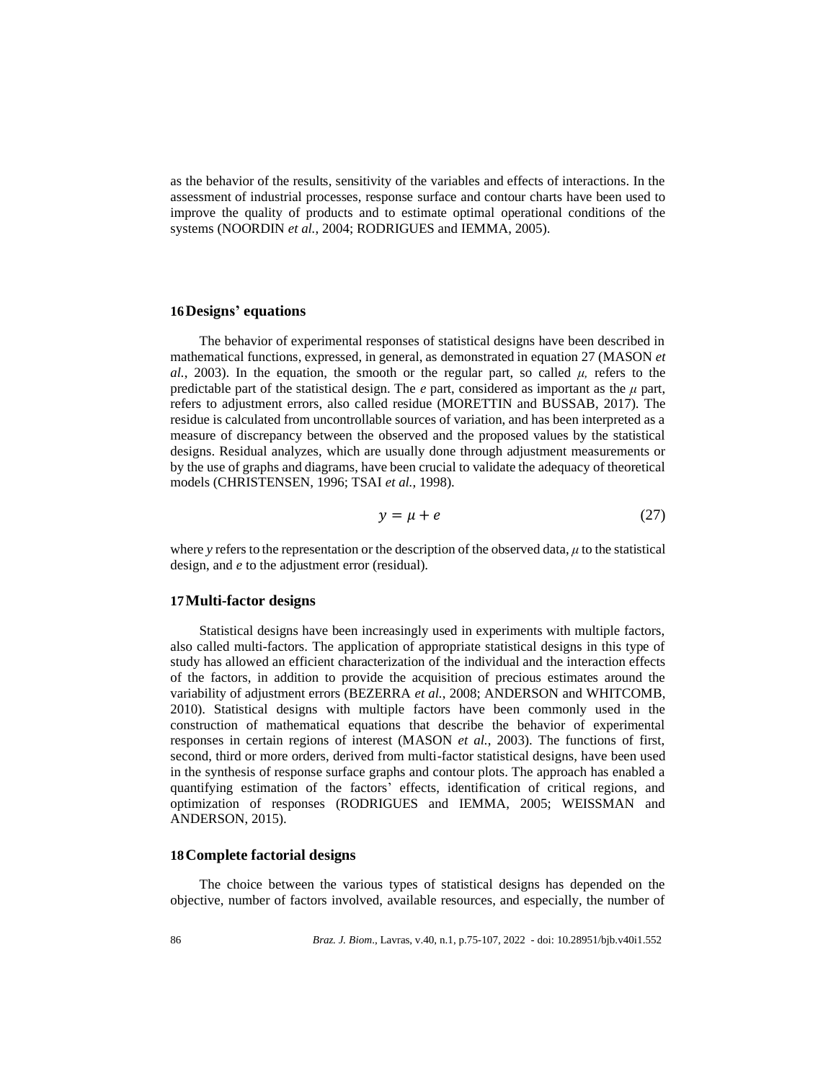as the behavior of the results, sensitivity of the variables and effects of interactions. In the assessment of industrial processes, response surface and contour charts have been used to improve the quality of products and to estimate optimal operational conditions of the systems (NOORDIN *et al.*, 2004; RODRIGUES and IEMMA, 2005).

## **16Designs' equations**

The behavior of experimental responses of statistical designs have been described in mathematical functions, expressed, in general, as demonstrated in equation 27 (MASON *et al.*, 2003). In the equation, the smooth or the regular part, so called  $\mu$ , refers to the predictable part of the statistical design. The  $e$  part, considered as important as the  $\mu$  part, refers to adjustment errors, also called residue (MORETTIN and BUSSAB, 2017). The residue is calculated from uncontrollable sources of variation, and has been interpreted as a measure of discrepancy between the observed and the proposed values by the statistical designs. Residual analyzes, which are usually done through adjustment measurements or by the use of graphs and diagrams, have been crucial to validate the adequacy of theoretical models (CHRISTENSEN, 1996; TSAI *et al.*, 1998).

$$
y = \mu + e \tag{27}
$$

where *y* refers to the representation or the description of the observed data,  $\mu$  to the statistical design, and *e* to the adjustment error (residual).

### **17Multi-factor designs**

Statistical designs have been increasingly used in experiments with multiple factors, also called multi-factors. The application of appropriate statistical designs in this type of study has allowed an efficient characterization of the individual and the interaction effects of the factors, in addition to provide the acquisition of precious estimates around the variability of adjustment errors (BEZERRA *et al.*, 2008; ANDERSON and WHITCOMB, 2010). Statistical designs with multiple factors have been commonly used in the construction of mathematical equations that describe the behavior of experimental responses in certain regions of interest (MASON *et al.*, 2003). The functions of first, second, third or more orders, derived from multi-factor statistical designs, have been used in the synthesis of response surface graphs and contour plots. The approach has enabled a quantifying estimation of the factors' effects, identification of critical regions, and optimization of responses (RODRIGUES and IEMMA, 2005; WEISSMAN and ANDERSON, 2015).

# **18Complete factorial designs**

The choice between the various types of statistical designs has depended on the objective, number of factors involved, available resources, and especially, the number of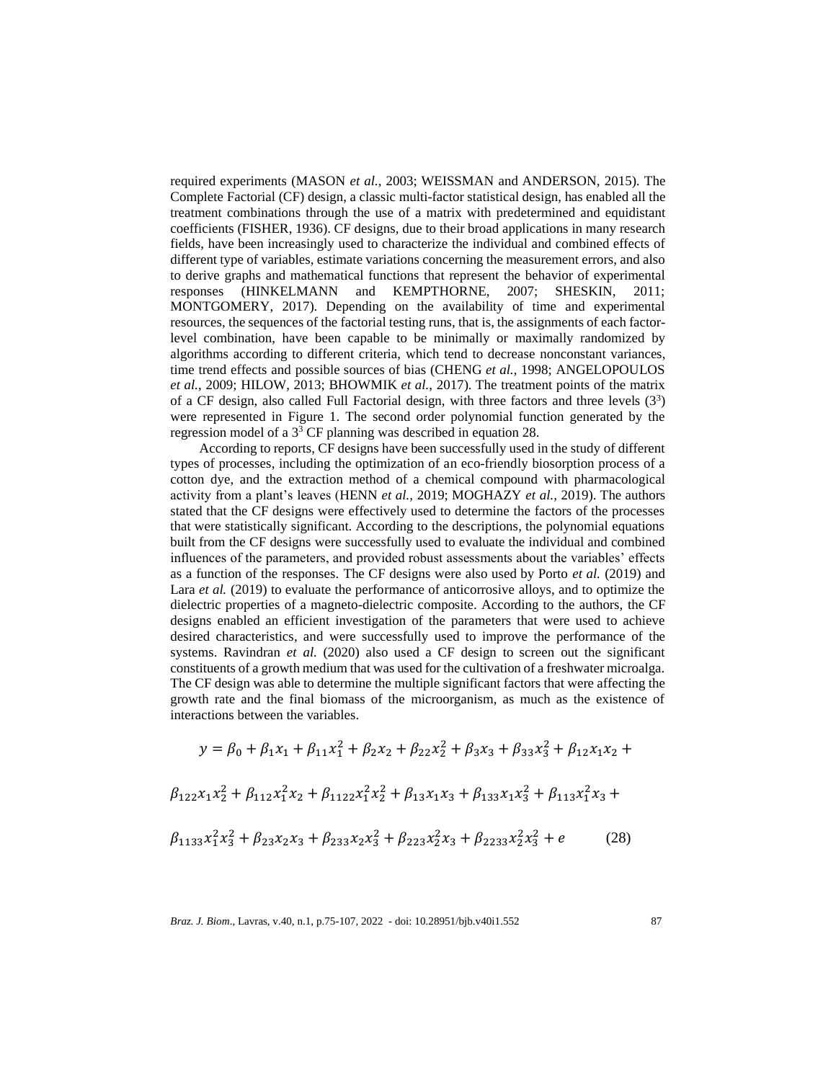required experiments (MASON *et al.*, 2003; WEISSMAN and ANDERSON, 2015). The Complete Factorial (CF) design, a classic multi-factor statistical design, has enabled all the treatment combinations through the use of a matrix with predetermined and equidistant coefficients (FISHER, 1936). CF designs, due to their broad applications in many research fields, have been increasingly used to characterize the individual and combined effects of different type of variables, estimate variations concerning the measurement errors, and also to derive graphs and mathematical functions that represent the behavior of experimental responses (HINKELMANN and KEMPTHORNE, 2007; SHESKIN, 2011; MONTGOMERY, 2017). Depending on the availability of time and experimental resources, the sequences of the factorial testing runs, that is, the assignments of each factorlevel combination, have been capable to be minimally or maximally randomized by algorithms according to different criteria, which tend to decrease nonconstant variances, time trend effects and possible sources of bias (CHENG *et al.*, 1998; ANGELOPOULOS *et al.*, 2009; HILOW, 2013; BHOWMIK *et al.*, 2017). The treatment points of the matrix of a CF design, also called Full Factorial design, with three factors and three levels  $(3^3)$ were represented in Figure 1. The second order polynomial function generated by the regression model of a  $3<sup>3</sup>$  CF planning was described in equation 28.

According to reports, CF designs have been successfully used in the study of different types of processes, including the optimization of an eco-friendly biosorption process of a cotton dye, and the extraction method of a chemical compound with pharmacological activity from a plant's leaves (HENN *et al.*, 2019; MOGHAZY *et al.*, 2019). The authors stated that the CF designs were effectively used to determine the factors of the processes that were statistically significant. According to the descriptions, the polynomial equations built from the CF designs were successfully used to evaluate the individual and combined influences of the parameters, and provided robust assessments about the variables' effects as a function of the responses. The CF designs were also used by Porto *et al.* (2019) and Lara *et al.* (2019) to evaluate the performance of anticorrosive alloys, and to optimize the dielectric properties of a magneto-dielectric composite. According to the authors, the CF designs enabled an efficient investigation of the parameters that were used to achieve desired characteristics, and were successfully used to improve the performance of the systems. Ravindran *et al.* (2020) also used a CF design to screen out the significant constituents of a growth medium that was used for the cultivation of a freshwater microalga. The CF design was able to determine the multiple significant factors that were affecting the growth rate and the final biomass of the microorganism, as much as the existence of interactions between the variables.

$$
y = \beta_0 + \beta_1 x_1 + \beta_{11} x_1^2 + \beta_2 x_2 + \beta_{22} x_2^2 + \beta_3 x_3 + \beta_{33} x_3^2 + \beta_{12} x_1 x_2 +
$$
  

$$
\beta_{122} x_1 x_2^2 + \beta_{112} x_1^2 x_2 + \beta_{1122} x_1^2 x_2^2 + \beta_{13} x_1 x_3 + \beta_{133} x_1 x_3^2 + \beta_{113} x_1^2 x_3 +
$$
  

$$
\beta_{1133} x_1^2 x_3^2 + \beta_{23} x_2 x_3 + \beta_{233} x_2 x_3^2 + \beta_{223} x_2^2 x_3 + \beta_{2233} x_2^2 x_3^2 + e
$$
 (28)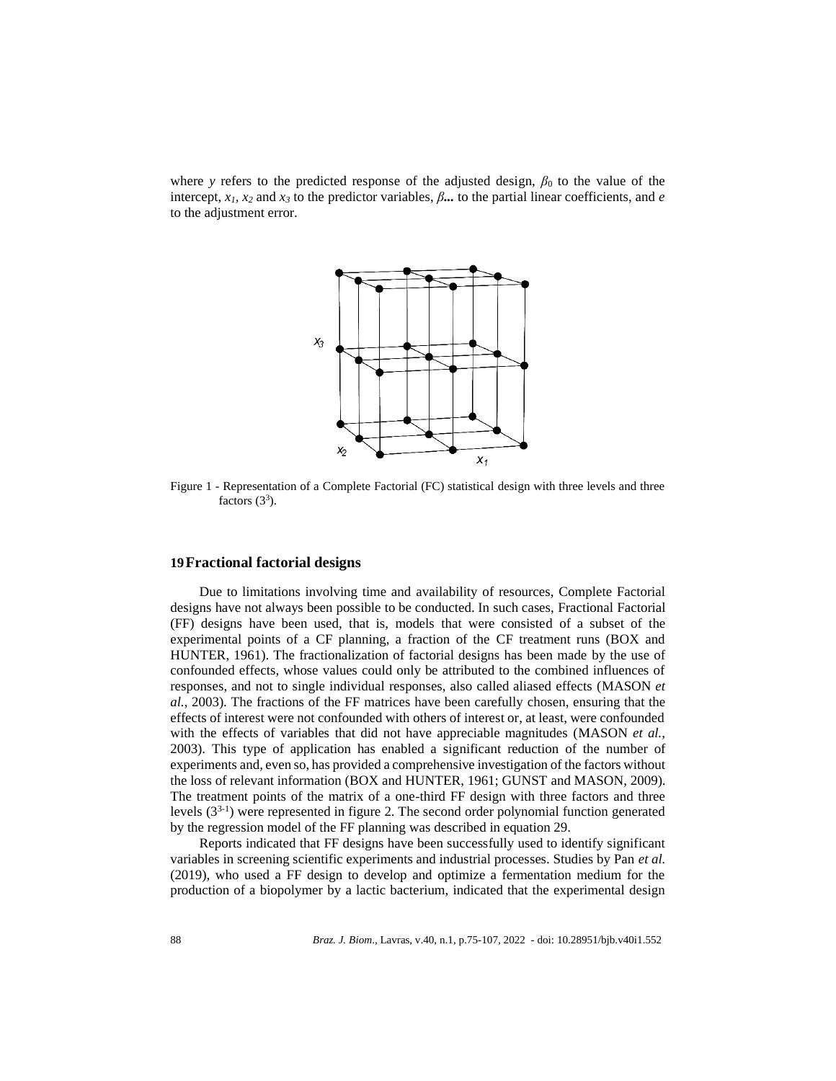where *y* refers to the predicted response of the adjusted design,  $\beta_0$  to the value of the intercept,  $x_1$ ,  $x_2$  and  $x_3$  to the predictor variables,  $\beta$ ... to the partial linear coefficients, and *e* to the adjustment error.



Figure 1 - Representation of a Complete Factorial (FC) statistical design with three levels and three factors  $(3^3)$ .

## **19Fractional factorial designs**

Due to limitations involving time and availability of resources, Complete Factorial designs have not always been possible to be conducted. In such cases, Fractional Factorial (FF) designs have been used, that is, models that were consisted of a subset of the experimental points of a CF planning, a fraction of the CF treatment runs (BOX and HUNTER, 1961). The fractionalization of factorial designs has been made by the use of confounded effects, whose values could only be attributed to the combined influences of responses, and not to single individual responses, also called aliased effects (MASON *et al.*, 2003). The fractions of the FF matrices have been carefully chosen, ensuring that the effects of interest were not confounded with others of interest or, at least, were confounded with the effects of variables that did not have appreciable magnitudes (MASON *et al.*, 2003). This type of application has enabled a significant reduction of the number of experiments and, even so, has provided a comprehensive investigation of the factors without the loss of relevant information (BOX and HUNTER, 1961; GUNST and MASON, 2009). The treatment points of the matrix of a one-third FF design with three factors and three levels (33-1 ) were represented in figure 2. The second order polynomial function generated by the regression model of the FF planning was described in equation 29.

Reports indicated that FF designs have been successfully used to identify significant variables in screening scientific experiments and industrial processes. Studies by Pan *et al.* (2019), who used a FF design to develop and optimize a fermentation medium for the production of a biopolymer by a lactic bacterium, indicated that the experimental design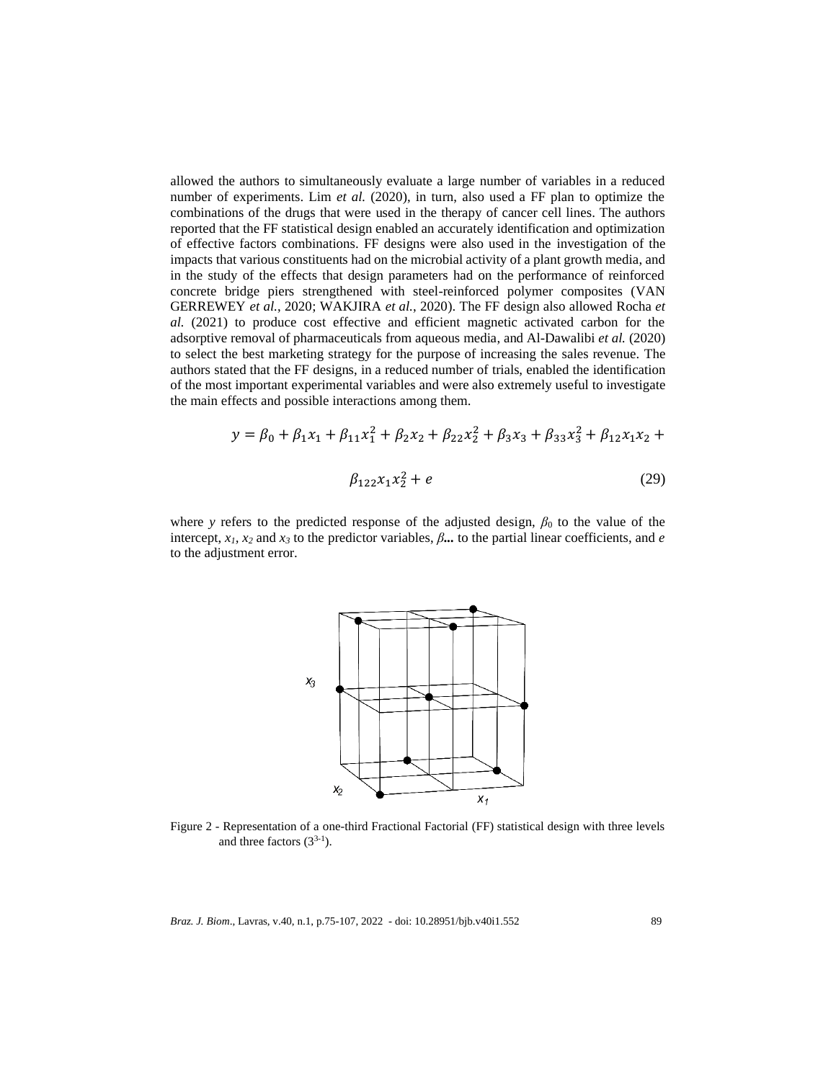allowed the authors to simultaneously evaluate a large number of variables in a reduced number of experiments. Lim *et al.* (2020), in turn, also used a FF plan to optimize the combinations of the drugs that were used in the therapy of cancer cell lines. The authors reported that the FF statistical design enabled an accurately identification and optimization of effective factors combinations. FF designs were also used in the investigation of the impacts that various constituents had on the microbial activity of a plant growth media, and in the study of the effects that design parameters had on the performance of reinforced concrete bridge piers strengthened with steel-reinforced polymer composites (VAN GERREWEY *et al.*, 2020; WAKJIRA *et al.*, 2020). The FF design also allowed Rocha *et al.* (2021) to produce cost effective and efficient magnetic activated carbon for the adsorptive removal of pharmaceuticals from aqueous media, and Al-Dawalibi *et al.* (2020) to select the best marketing strategy for the purpose of increasing the sales revenue. The authors stated that the FF designs, in a reduced number of trials, enabled the identification of the most important experimental variables and were also extremely useful to investigate the main effects and possible interactions among them.

$$
y = \beta_0 + \beta_1 x_1 + \beta_{11} x_1^2 + \beta_2 x_2 + \beta_{22} x_2^2 + \beta_3 x_3 + \beta_{33} x_3^2 + \beta_{12} x_1 x_2 +
$$
  

$$
\beta_{122} x_1 x_2^2 + e
$$
 (29)

where *y* refers to the predicted response of the adjusted design,  $\beta_0$  to the value of the intercept,  $x_1$ ,  $x_2$  and  $x_3$  to the predictor variables,  $\beta$ ... to the partial linear coefficients, and *e* to the adjustment error.



Figure 2 - Representation of a one-third Fractional Factorial (FF) statistical design with three levels and three factors  $(3^{3-1})$ .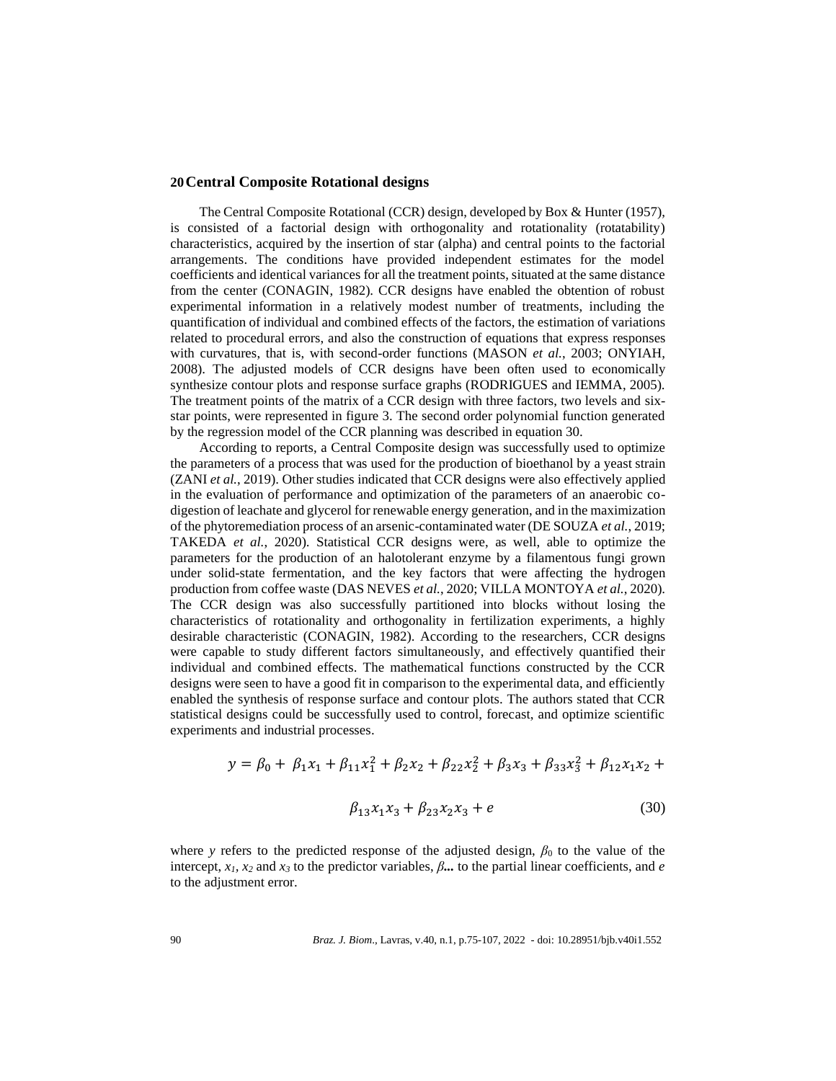#### **20Central Composite Rotational designs**

The Central Composite Rotational (CCR) design, developed by Box & Hunter (1957), is consisted of a factorial design with orthogonality and rotationality (rotatability) characteristics, acquired by the insertion of star (alpha) and central points to the factorial arrangements. The conditions have provided independent estimates for the model coefficients and identical variances for all the treatment points, situated at the same distance from the center (CONAGIN, 1982). CCR designs have enabled the obtention of robust experimental information in a relatively modest number of treatments, including the quantification of individual and combined effects of the factors, the estimation of variations related to procedural errors, and also the construction of equations that express responses with curvatures, that is, with second-order functions (MASON *et al.*, 2003; ONYIAH, 2008). The adjusted models of CCR designs have been often used to economically synthesize contour plots and response surface graphs (RODRIGUES and IEMMA, 2005). The treatment points of the matrix of a CCR design with three factors, two levels and sixstar points, were represented in figure 3. The second order polynomial function generated by the regression model of the CCR planning was described in equation 30.

According to reports, a Central Composite design was successfully used to optimize the parameters of a process that was used for the production of bioethanol by a yeast strain (ZANI *et al.*, 2019). Other studies indicated that CCR designs were also effectively applied in the evaluation of performance and optimization of the parameters of an anaerobic codigestion of leachate and glycerol for renewable energy generation, and in the maximization of the phytoremediation process of an arsenic-contaminated water (DE SOUZA *et al.*, 2019; TAKEDA *et al.*, 2020). Statistical CCR designs were, as well, able to optimize the parameters for the production of an halotolerant enzyme by a filamentous fungi grown under solid-state fermentation, and the key factors that were affecting the hydrogen production from coffee waste (DAS NEVES *et al.*, 2020; VILLA MONTOYA *et al.*, 2020). The CCR design was also successfully partitioned into blocks without losing the characteristics of rotationality and orthogonality in fertilization experiments, a highly desirable characteristic (CONAGIN, 1982). According to the researchers, CCR designs were capable to study different factors simultaneously, and effectively quantified their individual and combined effects. The mathematical functions constructed by the CCR designs were seen to have a good fit in comparison to the experimental data, and efficiently enabled the synthesis of response surface and contour plots. The authors stated that CCR statistical designs could be successfully used to control, forecast, and optimize scientific experiments and industrial processes.

$$
y = \beta_0 + \beta_1 x_1 + \beta_{11} x_1^2 + \beta_2 x_2 + \beta_{22} x_2^2 + \beta_3 x_3 + \beta_{33} x_3^2 + \beta_{12} x_1 x_2 +
$$
  

$$
\beta_{13} x_1 x_3 + \beta_{23} x_2 x_3 + e
$$
 (30)

where *y* refers to the predicted response of the adjusted design,  $\beta_0$  to the value of the intercept,  $x_1$ ,  $x_2$  and  $x_3$  to the predictor variables,  $\beta$ ... to the partial linear coefficients, and *e* to the adjustment error.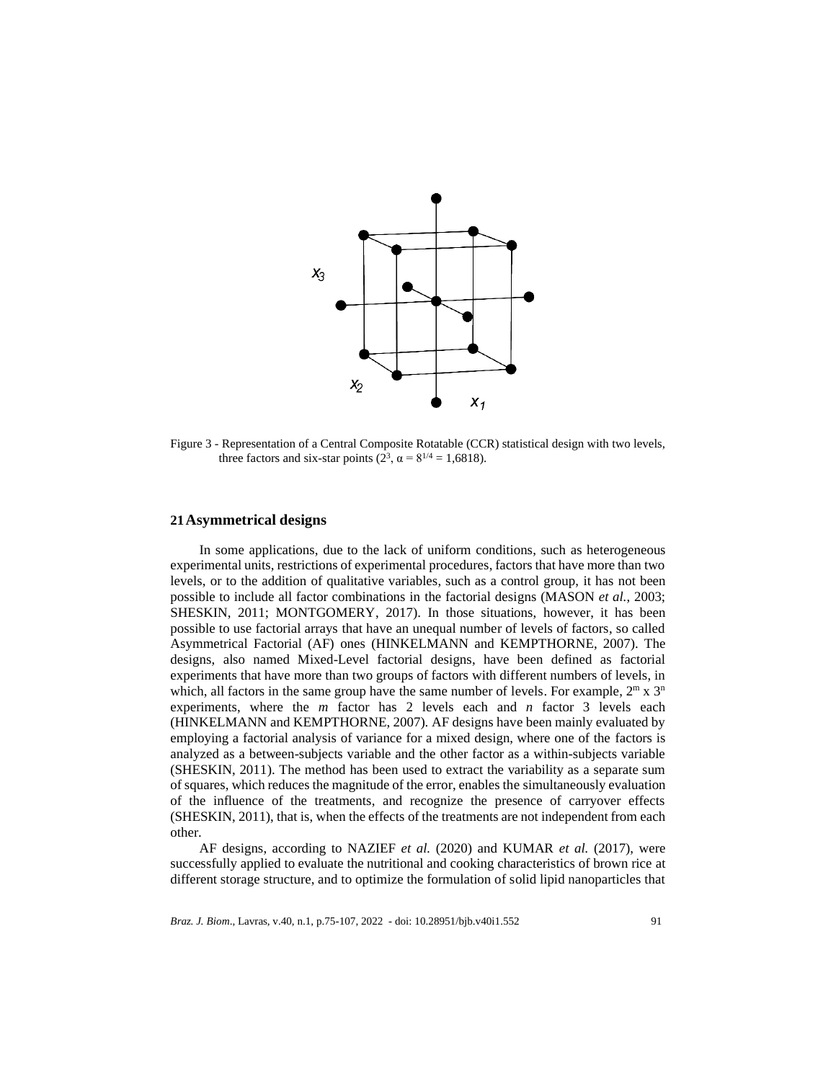

Figure 3 - Representation of a Central Composite Rotatable (CCR) statistical design with two levels, three factors and six-star points  $(2^3, \alpha = 8^{1/4} = 1,6818)$ .

### **21Asymmetrical designs**

In some applications, due to the lack of uniform conditions, such as heterogeneous experimental units, restrictions of experimental procedures, factors that have more than two levels, or to the addition of qualitative variables, such as a control group, it has not been possible to include all factor combinations in the factorial designs (MASON *et al.*, 2003; SHESKIN, 2011; MONTGOMERY, 2017). In those situations, however, it has been possible to use factorial arrays that have an unequal number of levels of factors, so called Asymmetrical Factorial (AF) ones (HINKELMANN and KEMPTHORNE, 2007). The designs, also named Mixed-Level factorial designs, have been defined as factorial experiments that have more than two groups of factors with different numbers of levels, in which, all factors in the same group have the same number of levels. For example,  $2^m \times 3^n$ experiments, where the *m* factor has 2 levels each and *n* factor 3 levels each (HINKELMANN and KEMPTHORNE, 2007). AF designs have been mainly evaluated by employing a factorial analysis of variance for a mixed design, where one of the factors is analyzed as a between-subjects variable and the other factor as a within-subjects variable (SHESKIN, 2011). The method has been used to extract the variability as a separate sum of squares, which reduces the magnitude of the error, enables the simultaneously evaluation of the influence of the treatments, and recognize the presence of carryover effects (SHESKIN, 2011), that is, when the effects of the treatments are not independent from each other.

AF designs, according to NAZIEF *et al.* (2020) and KUMAR *et al.* (2017), were successfully applied to evaluate the nutritional and cooking characteristics of brown rice at different storage structure, and to optimize the formulation of solid lipid nanoparticles that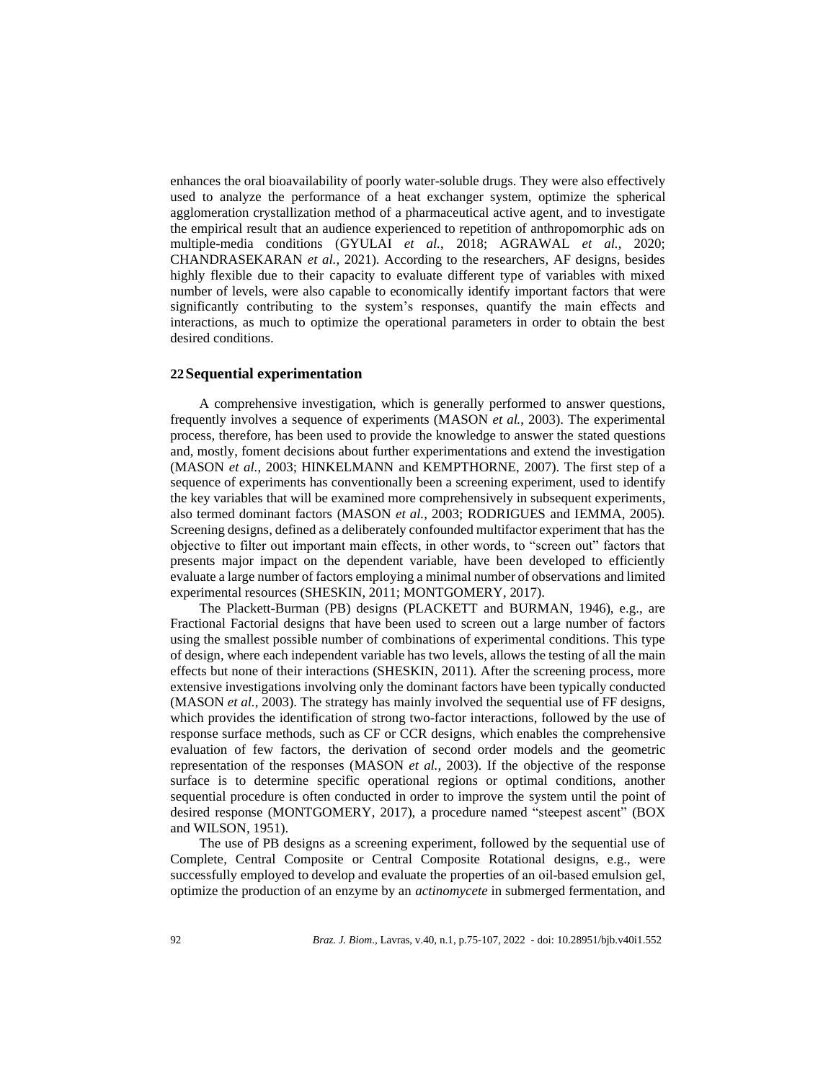enhances the oral bioavailability of poorly water-soluble drugs. They were also effectively used to analyze the performance of a heat exchanger system, optimize the spherical agglomeration crystallization method of a pharmaceutical active agent, and to investigate the empirical result that an audience experienced to repetition of anthropomorphic ads on multiple-media conditions (GYULAI *et al.*, 2018; AGRAWAL *et al.*, 2020; CHANDRASEKARAN *et al.*, 2021). According to the researchers, AF designs, besides highly flexible due to their capacity to evaluate different type of variables with mixed number of levels, were also capable to economically identify important factors that were significantly contributing to the system's responses, quantify the main effects and interactions, as much to optimize the operational parameters in order to obtain the best desired conditions.

### **22Sequential experimentation**

A comprehensive investigation, which is generally performed to answer questions, frequently involves a sequence of experiments (MASON *et al.*, 2003). The experimental process, therefore, has been used to provide the knowledge to answer the stated questions and, mostly, foment decisions about further experimentations and extend the investigation (MASON *et al.*, 2003; HINKELMANN and KEMPTHORNE, 2007). The first step of a sequence of experiments has conventionally been a screening experiment, used to identify the key variables that will be examined more comprehensively in subsequent experiments, also termed dominant factors (MASON *et al.*, 2003; RODRIGUES and IEMMA, 2005). Screening designs, defined as a deliberately confounded multifactor experiment that has the objective to filter out important main effects, in other words, to "screen out" factors that presents major impact on the dependent variable, have been developed to efficiently evaluate a large number of factors employing a minimal number of observations and limited experimental resources (SHESKIN, 2011; MONTGOMERY, 2017).

The Plackett-Burman (PB) designs (PLACKETT and BURMAN, 1946), e.g., are Fractional Factorial designs that have been used to screen out a large number of factors using the smallest possible number of combinations of experimental conditions. This type of design, where each independent variable has two levels, allows the testing of all the main effects but none of their interactions (SHESKIN, 2011). After the screening process, more extensive investigations involving only the dominant factors have been typically conducted (MASON *et al.*, 2003). The strategy has mainly involved the sequential use of FF designs, which provides the identification of strong two-factor interactions, followed by the use of response surface methods, such as CF or CCR designs, which enables the comprehensive evaluation of few factors, the derivation of second order models and the geometric representation of the responses (MASON *et al.*, 2003). If the objective of the response surface is to determine specific operational regions or optimal conditions, another sequential procedure is often conducted in order to improve the system until the point of desired response (MONTGOMERY, 2017), a procedure named "steepest ascent" (BOX and WILSON, 1951).

The use of PB designs as a screening experiment, followed by the sequential use of Complete, Central Composite or Central Composite Rotational designs, e.g., were successfully employed to develop and evaluate the properties of an oil-based emulsion gel, optimize the production of an enzyme by an *actinomycete* in submerged fermentation, and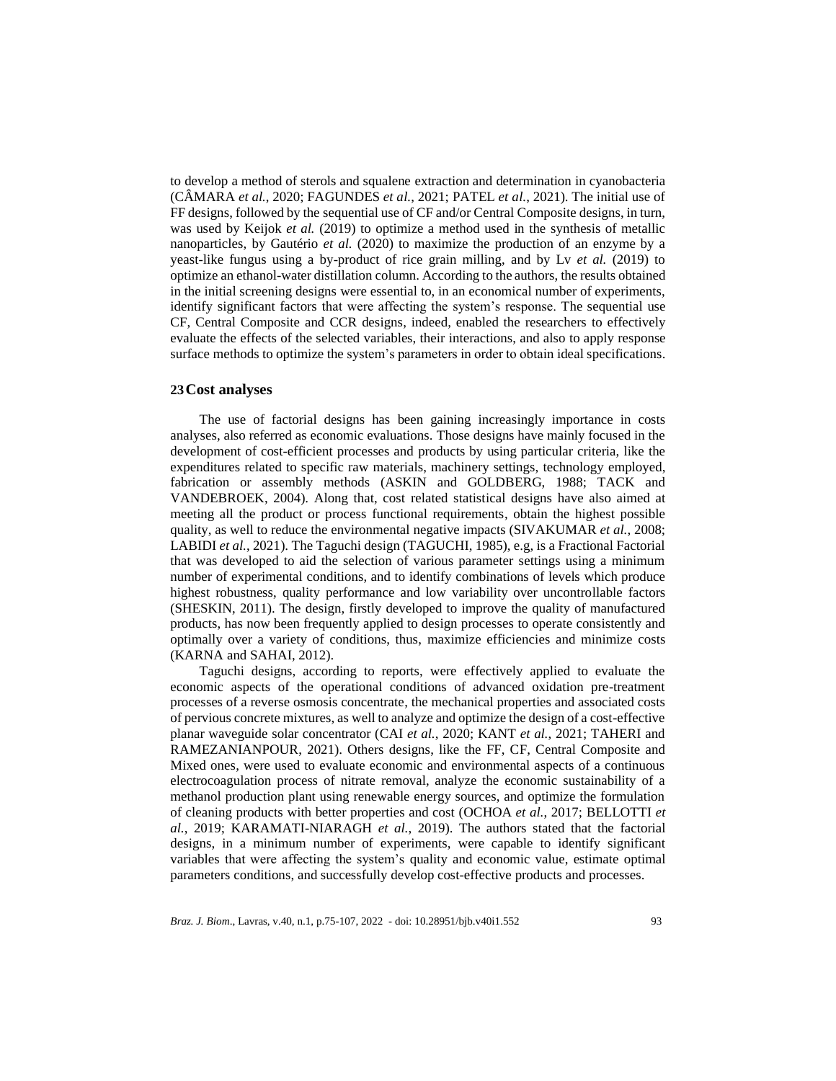to develop a method of sterols and squalene extraction and determination in cyanobacteria (CÂMARA *et al.*, 2020; FAGUNDES *et al.*, 2021; PATEL *et al.*, 2021). The initial use of FFdesigns, followed by the sequential use of CF and/or Central Composite designs, in turn, was used by Keijok *et al.* (2019) to optimize a method used in the synthesis of metallic nanoparticles, by Gautério *et al.* (2020) to maximize the production of an enzyme by a yeast-like fungus using a by-product of rice grain milling, and by Lv *et al.* (2019) to optimize an ethanol-water distillation column. According to the authors, the results obtained in the initial screening designs were essential to, in an economical number of experiments, identify significant factors that were affecting the system's response. The sequential use CF, Central Composite and CCR designs, indeed, enabled the researchers to effectively evaluate the effects of the selected variables, their interactions, and also to apply response surface methods to optimize the system's parameters in order to obtain ideal specifications.

## **23Cost analyses**

The use of factorial designs has been gaining increasingly importance in costs analyses, also referred as economic evaluations. Those designs have mainly focused in the development of cost-efficient processes and products by using particular criteria, like the expenditures related to specific raw materials, machinery settings, technology employed, fabrication or assembly methods (ASKIN and GOLDBERG, 1988; TACK and VANDEBROEK, 2004). Along that, cost related statistical designs have also aimed at meeting all the product or process functional requirements, obtain the highest possible quality, as well to reduce the environmental negative impacts (SIVAKUMAR *et al.*, 2008; LABIDI *et al.*, 2021). The Taguchi design (TAGUCHI, 1985), e.g, is a Fractional Factorial that was developed to aid the selection of various parameter settings using a minimum number of experimental conditions, and to identify combinations of levels which produce highest robustness, quality performance and low variability over uncontrollable factors (SHESKIN, 2011). The design, firstly developed to improve the quality of manufactured products, has now been frequently applied to design processes to operate consistently and optimally over a variety of conditions, thus, maximize efficiencies and minimize costs (KARNA and SAHAI, 2012).

Taguchi designs, according to reports, were effectively applied to evaluate the economic aspects of the operational conditions of advanced oxidation pre-treatment processes of a reverse osmosis concentrate, the mechanical properties and associated costs of pervious concrete mixtures, as well to analyze and optimize the design of a cost-effective planar waveguide solar concentrator (CAI *et al.*, 2020; KANT *et al.*, 2021; TAHERI and RAMEZANIANPOUR, 2021). Others designs, like the FF, CF, Central Composite and Mixed ones, were used to evaluate economic and environmental aspects of a continuous electrocoagulation process of nitrate removal, analyze the economic sustainability of a methanol production plant using renewable energy sources, and optimize the formulation of cleaning products with better properties and cost (OCHOA *et al.*, 2017; BELLOTTI *et al.*, 2019; KARAMATI-NIARAGH *et al.*, 2019). The authors stated that the factorial designs, in a minimum number of experiments, were capable to identify significant variables that were affecting the system's quality and economic value, estimate optimal parameters conditions, and successfully develop cost-effective products and processes.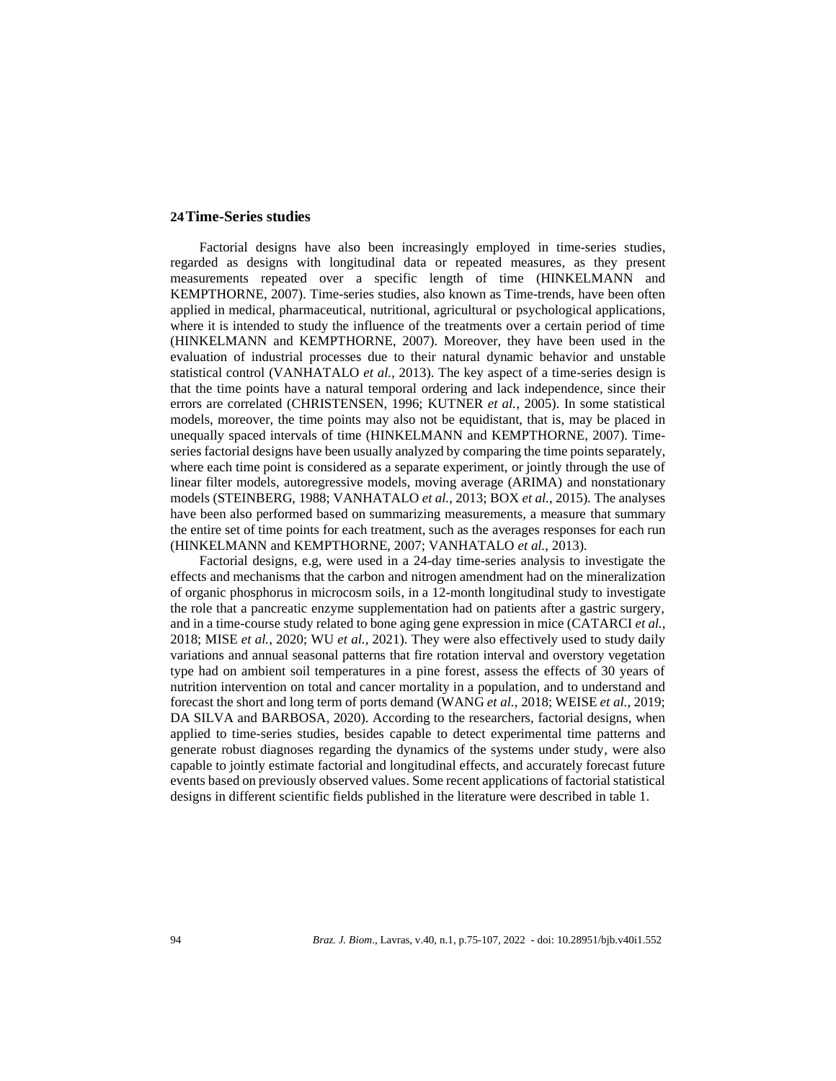### **24Time-Series studies**

Factorial designs have also been increasingly employed in time-series studies, regarded as designs with longitudinal data or repeated measures, as they present measurements repeated over a specific length of time (HINKELMANN and KEMPTHORNE, 2007). Time-series studies, also known as Time-trends, have been often applied in medical, pharmaceutical, nutritional, agricultural or psychological applications, where it is intended to study the influence of the treatments over a certain period of time (HINKELMANN and KEMPTHORNE, 2007). Moreover, they have been used in the evaluation of industrial processes due to their natural dynamic behavior and unstable statistical control (VANHATALO *et al.*, 2013). The key aspect of a time-series design is that the time points have a natural temporal ordering and lack independence, since their errors are correlated (CHRISTENSEN, 1996; KUTNER *et al.*, 2005). In some statistical models, moreover, the time points may also not be equidistant, that is, may be placed in unequally spaced intervals of time (HINKELMANN and KEMPTHORNE, 2007). Timeseries factorial designs have been usually analyzed by comparing the time points separately, where each time point is considered as a separate experiment, or jointly through the use of linear filter models, autoregressive models, moving average (ARIMA) and nonstationary models (STEINBERG, 1988; VANHATALO *et al.*, 2013; BOX *et al.*, 2015). The analyses have been also performed based on summarizing measurements, a measure that summary the entire set of time points for each treatment, such as the averages responses for each run (HINKELMANN and KEMPTHORNE, 2007; VANHATALO *et al.*, 2013).

Factorial designs, e.g, were used in a 24-day time-series analysis to investigate the effects and mechanisms that the carbon and nitrogen amendment had on the mineralization of organic phosphorus in microcosm soils, in a 12-month longitudinal study to investigate the role that a pancreatic enzyme supplementation had on patients after a gastric surgery, and in a time-course study related to bone aging gene expression in mice (CATARCI *et al.*, 2018; MISE *et al.*, 2020; WU *et al.*, 2021). They were also effectively used to study daily variations and annual seasonal patterns that fire rotation interval and overstory vegetation type had on ambient soil temperatures in a pine forest, assess the effects of 30 years of nutrition intervention on total and cancer mortality in a population, and to understand and forecast the short and long term of ports demand (WANG *et al.*, 2018; WEISE *et al.*, 2019; DA SILVA and BARBOSA, 2020). According to the researchers, factorial designs, when applied to time-series studies, besides capable to detect experimental time patterns and generate robust diagnoses regarding the dynamics of the systems under study, were also capable to jointly estimate factorial and longitudinal effects, and accurately forecast future events based on previously observed values. Some recent applications of factorial statistical designs in different scientific fields published in the literature were described in table 1.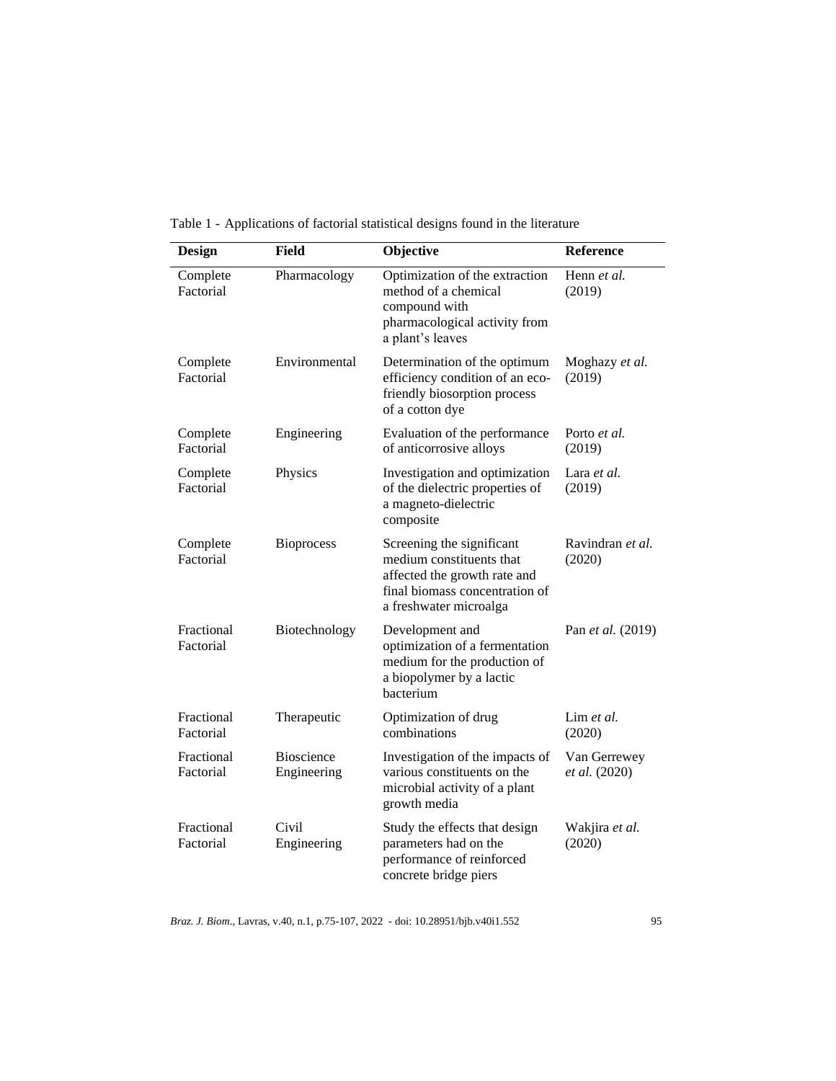| <b>Design</b>           | <b>Field</b>                     | Objective                                                                                                                                         | <b>Reference</b>              |
|-------------------------|----------------------------------|---------------------------------------------------------------------------------------------------------------------------------------------------|-------------------------------|
| Complete<br>Factorial   | Pharmacology                     | Optimization of the extraction<br>method of a chemical<br>compound with<br>pharmacological activity from<br>a plant's leaves                      | Henn et al.<br>(2019)         |
| Complete<br>Factorial   | Environmental                    | Determination of the optimum<br>efficiency condition of an eco-<br>friendly biosorption process<br>of a cotton dye                                | Moghazy et al.<br>(2019)      |
| Complete<br>Factorial   | Engineering                      | Evaluation of the performance<br>of anticorrosive alloys                                                                                          | Porto et al.<br>(2019)        |
| Complete<br>Factorial   | Physics                          | Investigation and optimization<br>of the dielectric properties of<br>a magneto-dielectric<br>composite                                            | Lara et al.<br>(2019)         |
| Complete<br>Factorial   | <b>Bioprocess</b>                | Screening the significant<br>medium constituents that<br>affected the growth rate and<br>final biomass concentration of<br>a freshwater microalga | Ravindran et al.<br>(2020)    |
| Fractional<br>Factorial | Biotechnology                    | Development and<br>optimization of a fermentation<br>medium for the production of<br>a biopolymer by a lactic<br>hacterium                        | Pan et al. (2019)             |
| Fractional<br>Factorial | Therapeutic                      | Optimization of drug<br>combinations                                                                                                              | Lim et al.<br>(2020)          |
| Fractional<br>Factorial | <b>Bioscience</b><br>Engineering | Investigation of the impacts of<br>various constituents on the<br>microbial activity of a plant<br>growth media                                   | Van Gerrewey<br>et al. (2020) |
| Fractional<br>Factorial | Civil<br>Engineering             | Study the effects that design<br>parameters had on the<br>performance of reinforced<br>concrete bridge piers                                      | Wakjira et al.<br>(2020)      |

Table 1 - Applications of factorial statistical designs found in the literature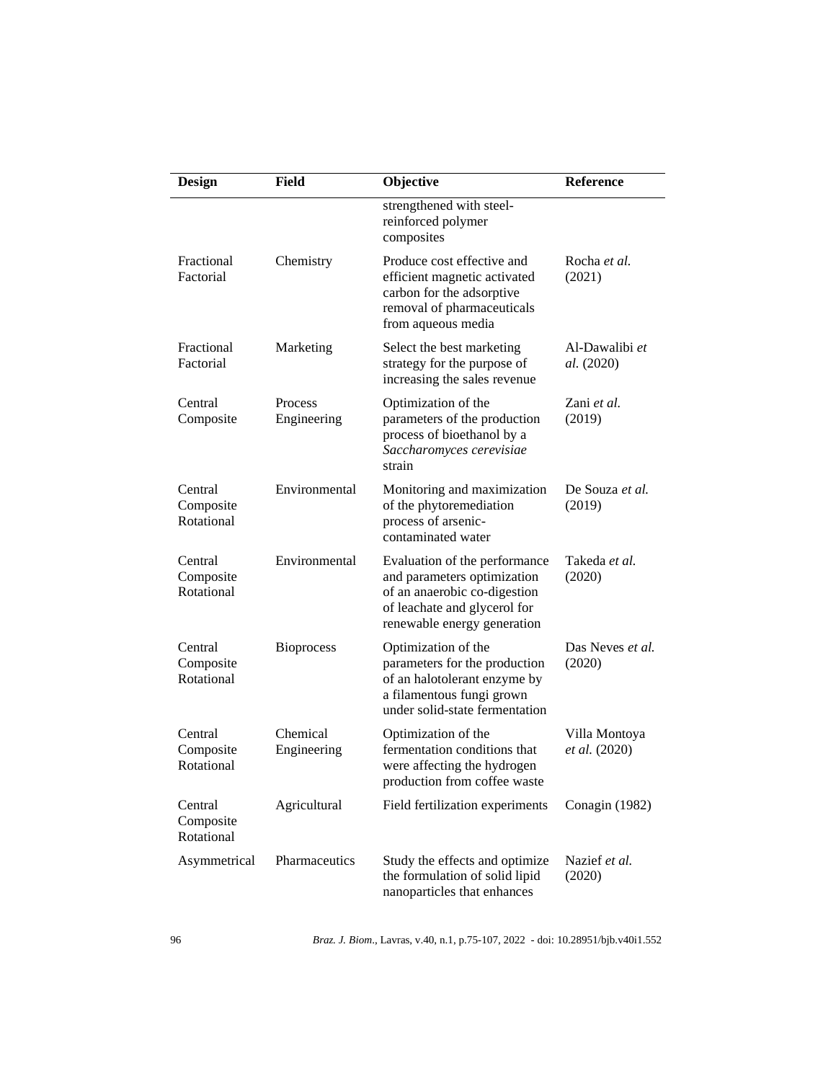| <b>Design</b>                      | <b>Field</b>            | Objective                                                                                                                                                   | Reference                      |
|------------------------------------|-------------------------|-------------------------------------------------------------------------------------------------------------------------------------------------------------|--------------------------------|
|                                    |                         | strengthened with steel-<br>reinforced polymer<br>composites                                                                                                |                                |
| Fractional<br>Factorial            | Chemistry               | Produce cost effective and<br>efficient magnetic activated<br>carbon for the adsorptive<br>removal of pharmaceuticals<br>from aqueous media                 | Rocha et al.<br>(2021)         |
| Fractional<br>Factorial            | Marketing               | Select the best marketing<br>strategy for the purpose of<br>increasing the sales revenue                                                                    | Al-Dawalibi et<br>al. (2020)   |
| Central<br>Composite               | Process<br>Engineering  | Optimization of the<br>parameters of the production<br>process of bioethanol by a<br>Saccharomyces cerevisiae<br>strain                                     | Zani et al.<br>(2019)          |
| Central<br>Composite<br>Rotational | Environmental           | Monitoring and maximization<br>of the phytoremediation<br>process of arsenic-<br>contaminated water                                                         | De Souza et al.<br>(2019)      |
| Central<br>Composite<br>Rotational | Environmental           | Evaluation of the performance<br>and parameters optimization<br>of an anaerobic co-digestion<br>of leachate and glycerol for<br>renewable energy generation | Takeda et al.<br>(2020)        |
| Central<br>Composite<br>Rotational | <b>Bioprocess</b>       | Optimization of the<br>parameters for the production<br>of an halotolerant enzyme by<br>a filamentous fungi grown<br>under solid-state fermentation         | Das Neves et al.<br>(2020)     |
| Central<br>Composite<br>Rotational | Chemical<br>Engineering | Optimization of the<br>fermentation conditions that<br>were affecting the hydrogen<br>production from coffee waste                                          | Villa Montoya<br>et al. (2020) |
| Central<br>Composite<br>Rotational | Agricultural            | Field fertilization experiments                                                                                                                             | Conagin (1982)                 |
| Asymmetrical                       | Pharmaceutics           | Study the effects and optimize<br>the formulation of solid lipid<br>nanoparticles that enhances                                                             | Nazief et al.<br>(2020)        |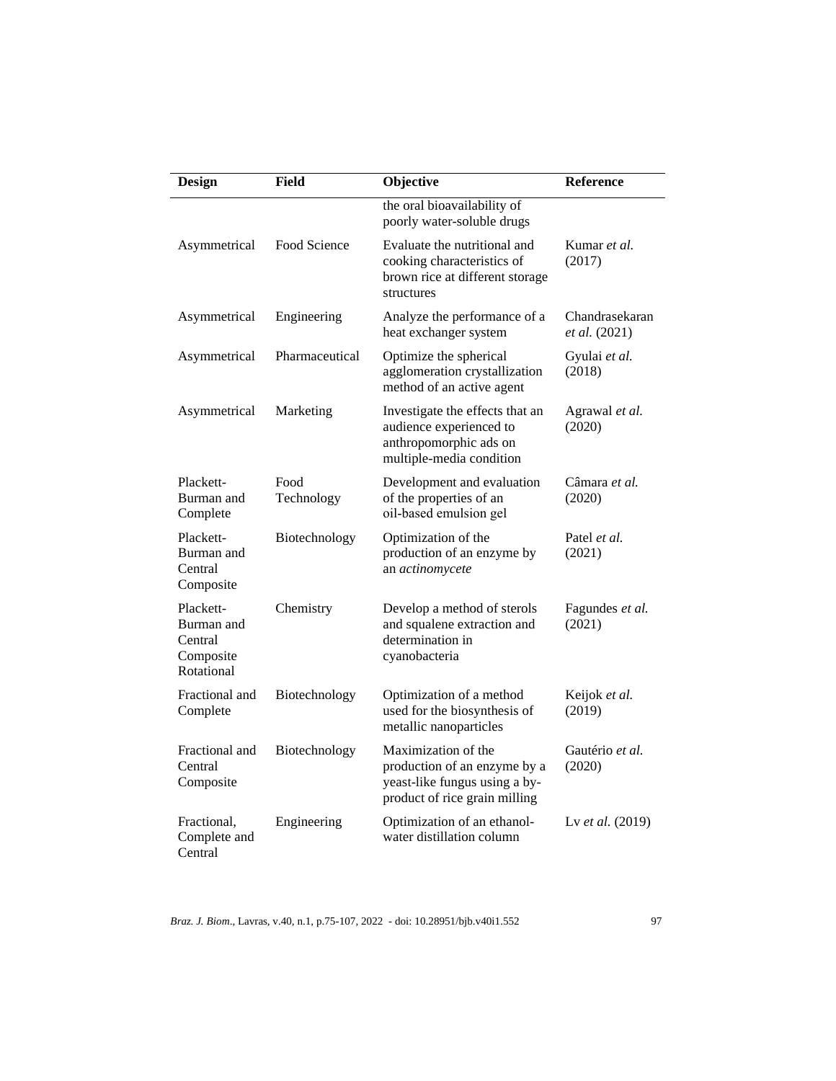| <b>Design</b>                                                 | Field              | Objective                                                                                                             | Reference                       |
|---------------------------------------------------------------|--------------------|-----------------------------------------------------------------------------------------------------------------------|---------------------------------|
|                                                               |                    | the oral bioavailability of<br>poorly water-soluble drugs                                                             |                                 |
| Asymmetrical                                                  | Food Science       | Evaluate the nutritional and<br>cooking characteristics of<br>brown rice at different storage<br>structures           | Kumar et al.<br>(2017)          |
| Asymmetrical                                                  | Engineering        | Analyze the performance of a<br>heat exchanger system                                                                 | Chandrasekaran<br>et al. (2021) |
| Asymmetrical                                                  | Pharmaceutical     | Optimize the spherical<br>agglomeration crystallization<br>method of an active agent                                  | Gyulai et al.<br>(2018)         |
| Asymmetrical                                                  | Marketing          | Investigate the effects that an<br>audience experienced to<br>anthropomorphic ads on<br>multiple-media condition      | Agrawal et al.<br>(2020)        |
| Plackett-<br>Burman and<br>Complete                           | Food<br>Technology | Development and evaluation<br>of the properties of an<br>oil-based emulsion gel                                       | Câmara <i>et al</i> .<br>(2020) |
| Plackett-<br>Burman and<br>Central<br>Composite               | Biotechnology      | Optimization of the<br>production of an enzyme by<br>an actinomycete                                                  | Patel <i>et al.</i><br>(2021)   |
| Plackett-<br>Burman and<br>Central<br>Composite<br>Rotational | Chemistry          | Develop a method of sterols<br>and squalene extraction and<br>determination in<br>cyanobacteria                       | Fagundes et al.<br>(2021)       |
| Fractional and<br>Complete                                    | Biotechnology      | Optimization of a method<br>used for the biosynthesis of<br>metallic nanoparticles                                    | Keijok et al.<br>(2019)         |
| Fractional and<br>Central<br>Composite                        | Biotechnology      | Maximization of the<br>production of an enzyme by a<br>yeast-like fungus using a by-<br>product of rice grain milling | Gautério et al.<br>(2020)       |
| Fractional,<br>Complete and<br>Central                        | Engineering        | Optimization of an ethanol-<br>water distillation column                                                              | Lv et al. (2019)                |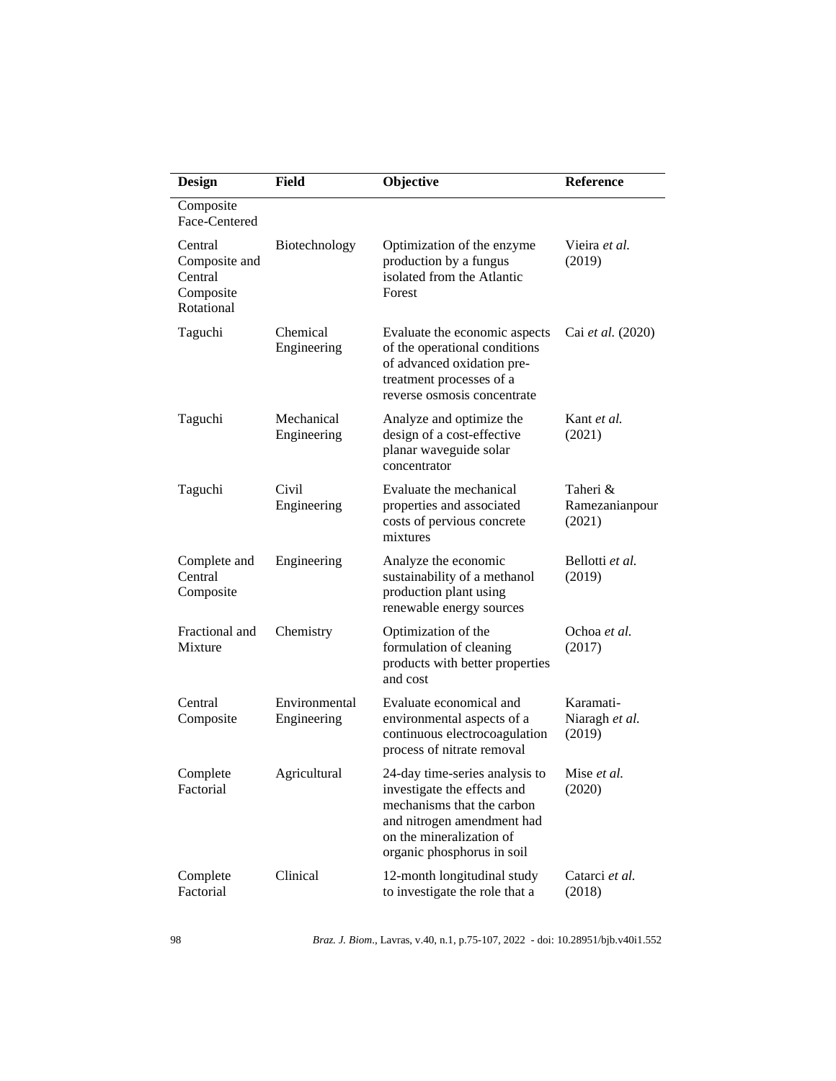| <b>Design</b>                                                  | Field                        | Objective                                                                                                                                                                           | <b>Reference</b>                      |
|----------------------------------------------------------------|------------------------------|-------------------------------------------------------------------------------------------------------------------------------------------------------------------------------------|---------------------------------------|
| Composite<br>Face-Centered                                     |                              |                                                                                                                                                                                     |                                       |
| Central<br>Composite and<br>Central<br>Composite<br>Rotational | Biotechnology                | Optimization of the enzyme<br>production by a fungus<br>isolated from the Atlantic<br>Forest                                                                                        | Vieira <i>et al.</i><br>(2019)        |
| Taguchi                                                        | Chemical<br>Engineering      | Evaluate the economic aspects<br>of the operational conditions<br>of advanced oxidation pre-<br>treatment processes of a<br>reverse osmosis concentrate                             | Cai et al. (2020)                     |
| Taguchi                                                        | Mechanical<br>Engineering    | Analyze and optimize the<br>design of a cost-effective<br>planar waveguide solar<br>concentrator                                                                                    | Kant et al.<br>(2021)                 |
| Taguchi                                                        | Civil<br>Engineering         | Evaluate the mechanical<br>properties and associated<br>costs of pervious concrete<br>mixtures                                                                                      | Taheri &<br>Ramezanianpour<br>(2021)  |
| Complete and<br>Central<br>Composite                           | Engineering                  | Analyze the economic<br>sustainability of a methanol<br>production plant using<br>renewable energy sources                                                                          | Bellotti et al.<br>(2019)             |
| Fractional and<br>Mixture                                      | Chemistry                    | Optimization of the<br>formulation of cleaning<br>products with better properties<br>and cost                                                                                       | Ochoa et al.<br>(2017)                |
| Central<br>Composite                                           | Environmental<br>Engineering | Evaluate economical and<br>environmental aspects of a<br>continuous electrocoagulation<br>process of nitrate removal                                                                | Karamati-<br>Niaragh et al.<br>(2019) |
| Complete<br>Factorial                                          | Agricultural                 | 24-day time-series analysis to<br>investigate the effects and<br>mechanisms that the carbon<br>and nitrogen amendment had<br>on the mineralization of<br>organic phosphorus in soil | Mise et al.<br>(2020)                 |
| Complete<br>Factorial                                          | Clinical                     | 12-month longitudinal study<br>to investigate the role that a                                                                                                                       | Catarci et al.<br>(2018)              |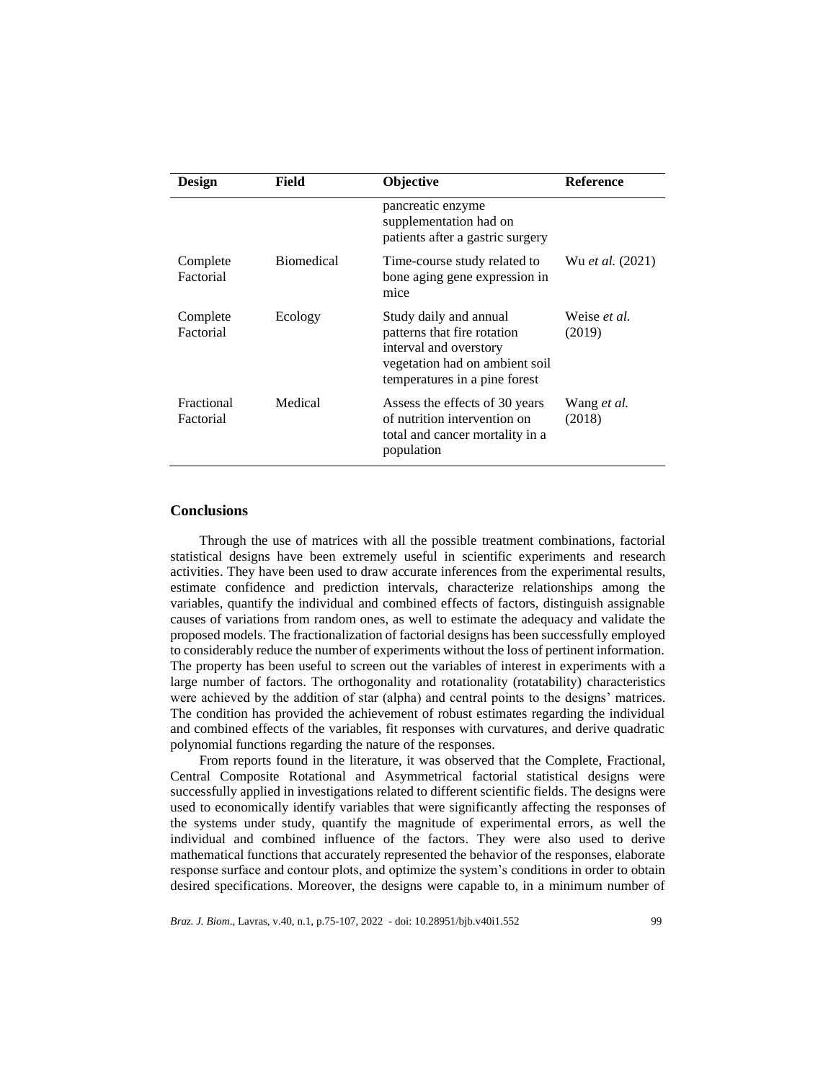| <b>Design</b>           | Field             | <b>Objective</b>                                                                                                                                   | <b>Reference</b>       |
|-------------------------|-------------------|----------------------------------------------------------------------------------------------------------------------------------------------------|------------------------|
|                         |                   | pancreatic enzyme<br>supplementation had on<br>patients after a gastric surgery                                                                    |                        |
| Complete<br>Factorial   | <b>Biomedical</b> | Time-course study related to<br>bone aging gene expression in<br>mice                                                                              | Wu et al. (2021)       |
| Complete<br>Factorial   | Ecology           | Study daily and annual<br>patterns that fire rotation<br>interval and overstory<br>vegetation had on ambient soil<br>temperatures in a pine forest | Weise et al.<br>(2019) |
| Fractional<br>Factorial | Medical           | Assess the effects of 30 years<br>of nutrition intervention on<br>total and cancer mortality in a<br>population                                    | Wang et al.<br>(2018)  |

### **Conclusions**

Through the use of matrices with all the possible treatment combinations, factorial statistical designs have been extremely useful in scientific experiments and research activities. They have been used to draw accurate inferences from the experimental results, estimate confidence and prediction intervals, characterize relationships among the variables, quantify the individual and combined effects of factors, distinguish assignable causes of variations from random ones, as well to estimate the adequacy and validate the proposed models. The fractionalization of factorial designs has been successfully employed to considerably reduce the number of experiments without the loss of pertinent information. The property has been useful to screen out the variables of interest in experiments with a large number of factors. The orthogonality and rotationality (rotatability) characteristics were achieved by the addition of star (alpha) and central points to the designs' matrices. The condition has provided the achievement of robust estimates regarding the individual and combined effects of the variables, fit responses with curvatures, and derive quadratic polynomial functions regarding the nature of the responses.

From reports found in the literature, it was observed that the Complete, Fractional, Central Composite Rotational and Asymmetrical factorial statistical designs were successfully applied in investigations related to different scientific fields. The designs were used to economically identify variables that were significantly affecting the responses of the systems under study, quantify the magnitude of experimental errors, as well the individual and combined influence of the factors. They were also used to derive mathematical functions that accurately represented the behavior of the responses, elaborate response surface and contour plots, and optimize the system's conditions in order to obtain desired specifications. Moreover, the designs were capable to, in a minimum number of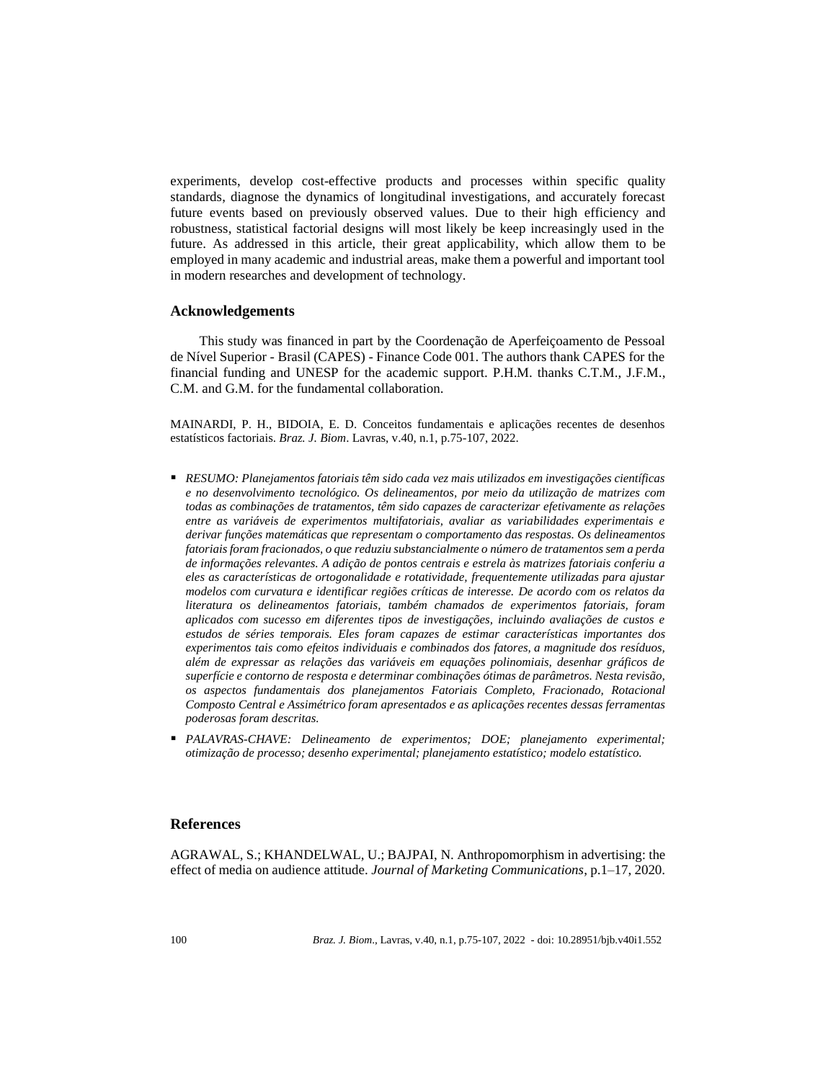experiments, develop cost-effective products and processes within specific quality standards, diagnose the dynamics of longitudinal investigations, and accurately forecast future events based on previously observed values. Due to their high efficiency and robustness, statistical factorial designs will most likely be keep increasingly used in the future. As addressed in this article, their great applicability, which allow them to be employed in many academic and industrial areas, make them a powerful and important tool in modern researches and development of technology.

# **Acknowledgements**

This study was financed in part by the Coordenação de Aperfeiçoamento de Pessoal de Nível Superior - Brasil (CAPES) - Finance Code 001. The authors thank CAPES for the financial funding and UNESP for the academic support. P.H.M. thanks C.T.M., J.F.M., C.M. and G.M. for the fundamental collaboration.

MAINARDI, P. H., BIDOIA, E. D. Conceitos fundamentais e aplicações recentes de desenhos estatísticos factoriais. *Braz. J. Biom*. Lavras, v.40, n.1, p.75-107, 2022.

- *RESUMO: Planejamentos fatoriais têm sido cada vez mais utilizados em investigações científicas e no desenvolvimento tecnológico. Os delineamentos, por meio da utilização de matrizes com todas as combinações de tratamentos, têm sido capazes de caracterizar efetivamente as relações entre as variáveis de experimentos multifatoriais, avaliar as variabilidades experimentais e derivar funções matemáticas que representam o comportamento das respostas. Os delineamentos fatoriais foram fracionados, o que reduziu substancialmente o número de tratamentos sem a perda de informações relevantes. A adição de pontos centrais e estrela às matrizes fatoriais conferiu a eles as características de ortogonalidade e rotatividade, frequentemente utilizadas para ajustar modelos com curvatura e identificar regiões críticas de interesse. De acordo com os relatos da literatura os delineamentos fatoriais, também chamados de experimentos fatoriais, foram aplicados com sucesso em diferentes tipos de investigações, incluindo avaliações de custos e estudos de séries temporais. Eles foram capazes de estimar características importantes dos experimentos tais como efeitos individuais e combinados dos fatores, a magnitude dos resíduos, além de expressar as relações das variáveis em equações polinomiais, desenhar gráficos de superfície e contorno de resposta e determinar combinações ótimas de parâmetros. Nesta revisão, os aspectos fundamentais dos planejamentos Fatoriais Completo, Fracionado, Rotacional Composto Central e Assimétrico foram apresentados e as aplicações recentes dessas ferramentas poderosas foram descritas.*
- *PALAVRAS-CHAVE: Delineamento de experimentos; DOE; planejamento experimental; otimização de processo; desenho experimental; planejamento estatístico; modelo estatístico.*

#### **References**

AGRAWAL, S.; KHANDELWAL, U.; BAJPAI, N. Anthropomorphism in advertising: the effect of media on audience attitude. *Journal of Marketing Communications*, p.1–17, 2020.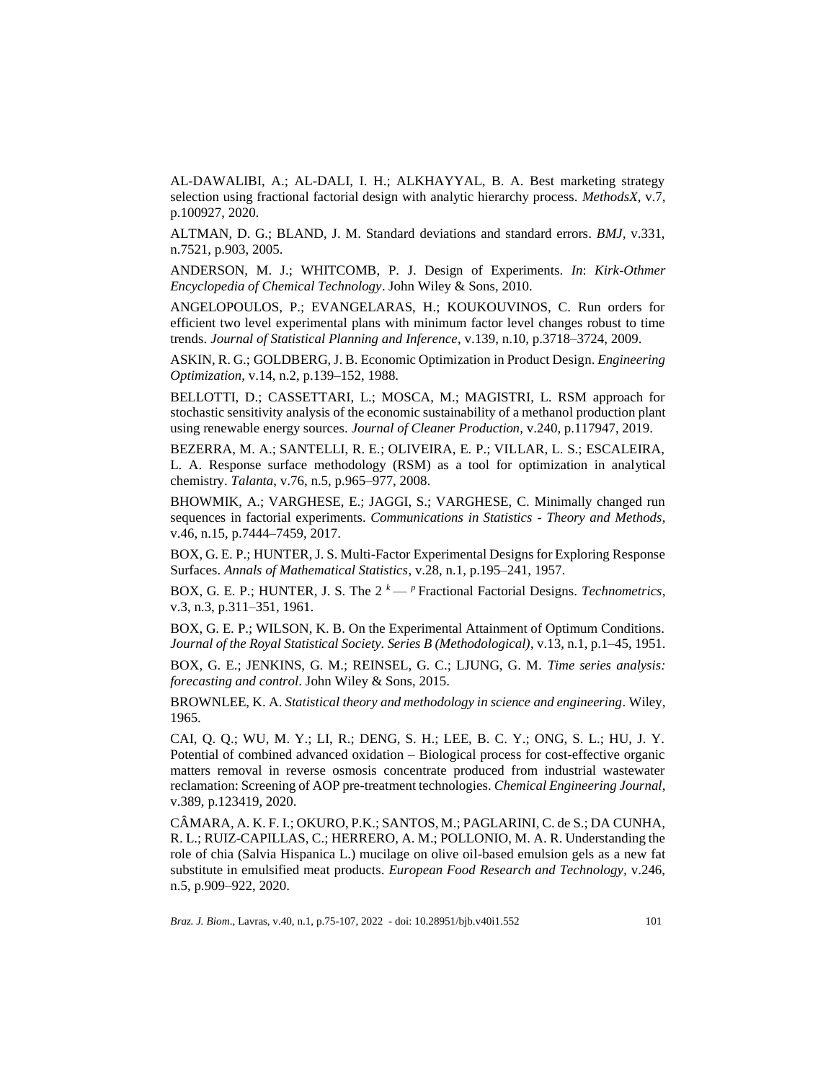AL-DAWALIBI, A.; AL-DALI, I. H.; ALKHAYYAL, B. A. Best marketing strategy selection using fractional factorial design with analytic hierarchy process. *MethodsX*, v.7, p.100927, 2020.

ALTMAN, D. G.; BLAND, J. M. Standard deviations and standard errors. *BMJ*, v.331, n.7521, p.903, 2005.

ANDERSON, M. J.; WHITCOMB, P. J. Design of Experiments. *In*: *Kirk-Othmer Encyclopedia of Chemical Technology*. John Wiley & Sons, 2010.

ANGELOPOULOS, P.; EVANGELARAS, H.; KOUKOUVINOS, C. Run orders for efficient two level experimental plans with minimum factor level changes robust to time trends. *Journal of Statistical Planning and Inference*, v.139, n.10, p.3718–3724, 2009.

ASKIN, R. G.; GOLDBERG, J. B. Economic Optimization in Product Design. *Engineering Optimization*, v.14, n.2, p.139–152, 1988.

BELLOTTI, D.; CASSETTARI, L.; MOSCA, M.; MAGISTRI, L. RSM approach for stochastic sensitivity analysis of the economic sustainability of a methanol production plant using renewable energy sources. *Journal of Cleaner Production*, v.240, p.117947, 2019.

BEZERRA, M. A.; SANTELLI, R. E.; OLIVEIRA, E. P.; VILLAR, L. S.; ESCALEIRA, L. A. Response surface methodology (RSM) as a tool for optimization in analytical chemistry. *Talanta*, v.76, n.5, p.965–977, 2008.

BHOWMIK, A.; VARGHESE, E.; JAGGI, S.; VARGHESE, C. Minimally changed run sequences in factorial experiments. *Communications in Statistics - Theory and Methods*, v.46, n.15, p.7444–7459, 2017.

BOX, G. E. P.; HUNTER, J. S. Multi-Factor Experimental Designs for Exploring Response Surfaces. *Annals of Mathematical Statistics*, v.28, n.1, p.195–241, 1957.

BOX, G. E. P.; HUNTER, J. S. The  $2^k - p$  Fractional Factorial Designs. *Technometrics*, v.3, n.3, p.311–351, 1961.

BOX, G. E. P.; WILSON, K. B. On the Experimental Attainment of Optimum Conditions. *Journal of the Royal Statistical Society. Series B (Methodological)*, v.13, n.1, p.1–45, 1951.

BOX, G. E.; JENKINS, G. M.; REINSEL, G. C.; LJUNG, G. M. *Time series analysis: forecasting and control*. John Wiley & Sons, 2015.

BROWNLEE, K. A. *Statistical theory and methodology in science and engineering*. Wiley, 1965.

CAI, Q. Q.; WU, M. Y.; LI, R.; DENG, S. H.; LEE, B. C. Y.; ONG, S. L.; HU, J. Y. Potential of combined advanced oxidation – Biological process for cost-effective organic matters removal in reverse osmosis concentrate produced from industrial wastewater reclamation: Screening of AOP pre-treatment technologies. *Chemical Engineering Journal*, v.389, p.123419, 2020.

CÂMARA, A. K. F. I.; OKURO, P.K.; SANTOS, M.; PAGLARINI, C. de S.; DA CUNHA, R. L.; RUIZ-CAPILLAS, C.; HERRERO, A. M.; POLLONIO, M. A. R. Understanding the role of chia (Salvia Hispanica L.) mucilage on olive oil-based emulsion gels as a new fat substitute in emulsified meat products. *European Food Research and Technology,* v.246, n.5, p.909–922, 2020.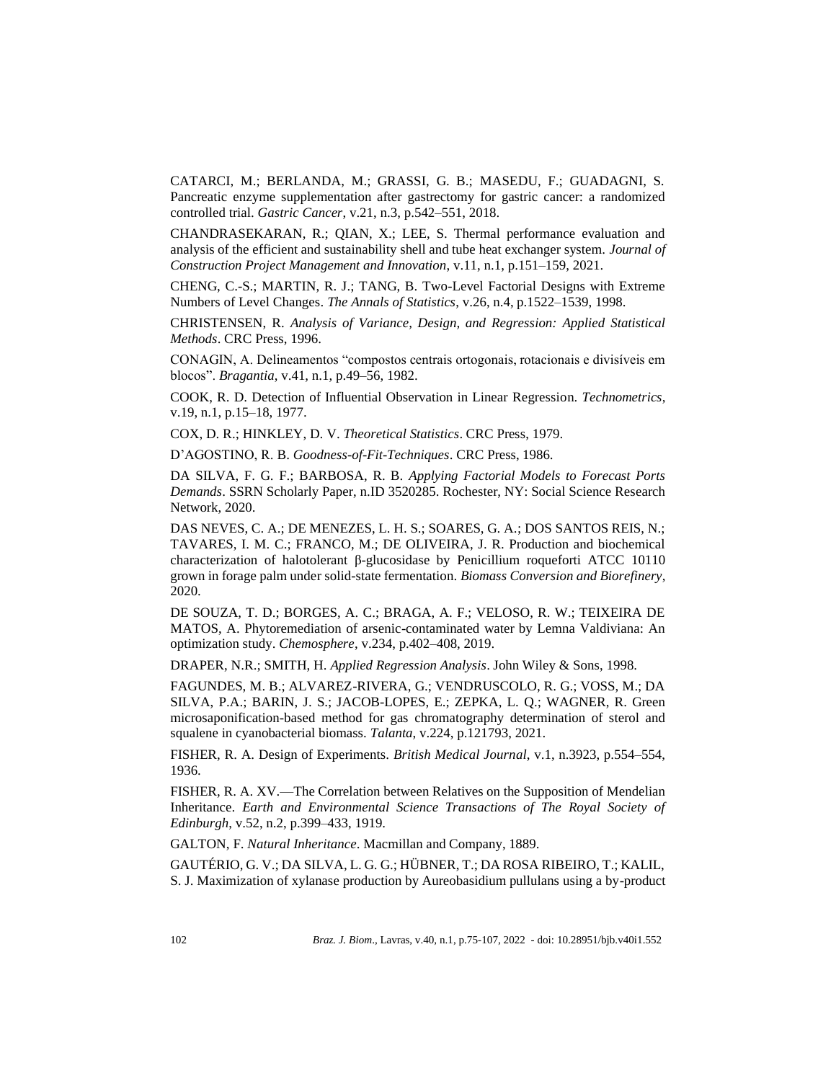CATARCI, M.; BERLANDA, M.; GRASSI, G. B.; MASEDU, F.; GUADAGNI, S. Pancreatic enzyme supplementation after gastrectomy for gastric cancer: a randomized controlled trial. *Gastric Cancer*, v.21, n.3, p.542–551, 2018.

CHANDRASEKARAN, R.; QIAN, X.; LEE, S. Thermal performance evaluation and analysis of the efficient and sustainability shell and tube heat exchanger system. *Journal of Construction Project Management and Innovation*, v.11, n.1, p.151–159, 2021.

CHENG, C.-S.; MARTIN, R. J.; TANG, B. Two-Level Factorial Designs with Extreme Numbers of Level Changes. *The Annals of Statistics*, v.26, n.4, p.1522–1539, 1998.

CHRISTENSEN, R. *Analysis of Variance, Design, and Regression: Applied Statistical Methods*. CRC Press, 1996.

CONAGIN, A. Delineamentos "compostos centrais ortogonais, rotacionais e divisíveis em blocos". *Bragantia*, v.41, n.1, p.49–56, 1982.

COOK, R. D. Detection of Influential Observation in Linear Regression. *Technometrics*, v.19, n.1, p.15–18, 1977.

COX, D. R.; HINKLEY, D. V. *Theoretical Statistics*. CRC Press, 1979.

D'AGOSTINO, R. B. *Goodness-of-Fit-Techniques*. CRC Press, 1986.

DA SILVA, F. G. F.; BARBOSA, R. B. *Applying Factorial Models to Forecast Ports Demands*. SSRN Scholarly Paper, n.ID 3520285. Rochester, NY: Social Science Research Network, 2020.

DAS NEVES, C. A.; DE MENEZES, L. H. S.; SOARES, G. A.; DOS SANTOS REIS, N.; TAVARES, I. M. C.; FRANCO, M.; DE OLIVEIRA, J. R. Production and biochemical characterization of halotolerant β-glucosidase by Penicillium roqueforti ATCC 10110 grown in forage palm under solid-state fermentation. *Biomass Conversion and Biorefinery*, 2020.

DE SOUZA, T. D.; BORGES, A. C.; BRAGA, A. F.; VELOSO, R. W.; TEIXEIRA DE MATOS, A. Phytoremediation of arsenic-contaminated water by Lemna Valdiviana: An optimization study. *Chemosphere*, v.234, p.402–408, 2019.

DRAPER, N.R.; SMITH, H. *Applied Regression Analysis*. John Wiley & Sons, 1998.

FAGUNDES, M. B.; ALVAREZ-RIVERA, G.; VENDRUSCOLO, R. G.; VOSS, M.; DA SILVA, P.A.; BARIN, J. S.; JACOB-LOPES, E.; ZEPKA, L. Q.; WAGNER, R. Green microsaponification-based method for gas chromatography determination of sterol and squalene in cyanobacterial biomass. *Talanta*, v.224, p.121793, 2021.

FISHER, R. A. Design of Experiments. *British Medical Journal*, v.1, n.3923, p.554–554, 1936.

FISHER, R. A. XV.—The Correlation between Relatives on the Supposition of Mendelian Inheritance. *Earth and Environmental Science Transactions of The Royal Society of Edinburgh*, v.52, n.2, p.399–433, 1919.

GALTON, F. *Natural Inheritance*. Macmillan and Company, 1889.

GAUTÉRIO, G. V.; DA SILVA, L. G. G.; HÜBNER, T.; DA ROSA RIBEIRO, T.; KALIL, S. J. Maximization of xylanase production by Aureobasidium pullulans using a by-product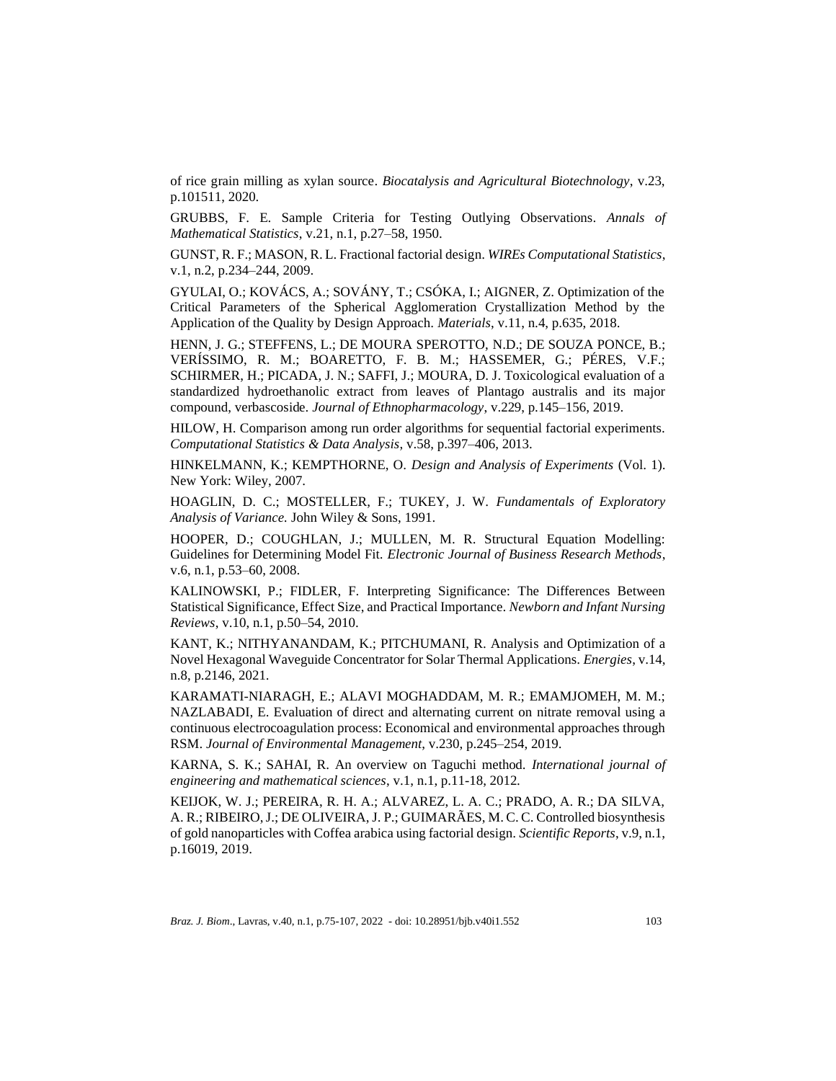of rice grain milling as xylan source. *Biocatalysis and Agricultural Biotechnology*, v.23, p.101511, 2020.

GRUBBS, F. E. Sample Criteria for Testing Outlying Observations. *Annals of Mathematical Statistics*, v.21, n.1, p.27–58, 1950.

GUNST, R. F.; MASON, R. L. Fractional factorial design. *WIREs Computational Statistics*, v.1, n.2, p.234–244, 2009.

GYULAI, O.; KOVÁCS, A.; SOVÁNY, T.; CSÓKA, I.; AIGNER, Z. Optimization of the Critical Parameters of the Spherical Agglomeration Crystallization Method by the Application of the Quality by Design Approach. *Materials*, v.11, n.4, p.635, 2018.

HENN, J. G.; STEFFENS, L.; DE MOURA SPEROTTO, N.D.; DE SOUZA PONCE, B.; VERÍSSIMO, R. M.; BOARETTO, F. B. M.; HASSEMER, G.; PÉRES, V.F.; SCHIRMER, H.; PICADA, J. N.; SAFFI, J.; MOURA, D. J. Toxicological evaluation of a standardized hydroethanolic extract from leaves of Plantago australis and its major compound, verbascoside. *Journal of Ethnopharmacology*, v.229, p.145–156, 2019.

HILOW, H. Comparison among run order algorithms for sequential factorial experiments. *Computational Statistics & Data Analysis*, v.58, p.397–406, 2013.

HINKELMANN, K.; KEMPTHORNE, O. *Design and Analysis of Experiments* (Vol. 1). New York: Wiley, 2007.

HOAGLIN, D. C.; MOSTELLER, F.; TUKEY, J. W. *Fundamentals of Exploratory Analysis of Variance.* John Wiley & Sons, 1991.

HOOPER, D.; COUGHLAN, J.; MULLEN, M. R. Structural Equation Modelling: Guidelines for Determining Model Fit. *Electronic Journal of Business Research Methods*, v.6, n.1, p.53–60, 2008.

KALINOWSKI, P.; FIDLER, F. Interpreting Significance: The Differences Between Statistical Significance, Effect Size, and Practical Importance. *Newborn and Infant Nursing Reviews*, v.10, n.1, p.50–54, 2010.

KANT, K.; NITHYANANDAM, K.; PITCHUMANI, R. Analysis and Optimization of a Novel Hexagonal Waveguide Concentrator for Solar Thermal Applications. *Energies*, v.14, n.8, p.2146, 2021.

KARAMATI-NIARAGH, E.; ALAVI MOGHADDAM, M. R.; EMAMJOMEH, M. M.; NAZLABADI, E. Evaluation of direct and alternating current on nitrate removal using a continuous electrocoagulation process: Economical and environmental approaches through RSM. *Journal of Environmental Management*, v.230, p.245–254, 2019.

KARNA, S. K.; SAHAI, R. An overview on Taguchi method. *International journal of engineering and mathematical sciences*, v.1, n.1, p.11-18, 2012.

KEIJOK, W. J.; PEREIRA, R. H. A.; ALVAREZ, L. A. C.; PRADO, A. R.; DA SILVA, A. R.; RIBEIRO, J.; DE OLIVEIRA, J. P.; GUIMARÃES, M. C. C. Controlled biosynthesis of gold nanoparticles with Coffea arabica using factorial design. *Scientific Reports*, v.9, n.1, p.16019, 2019.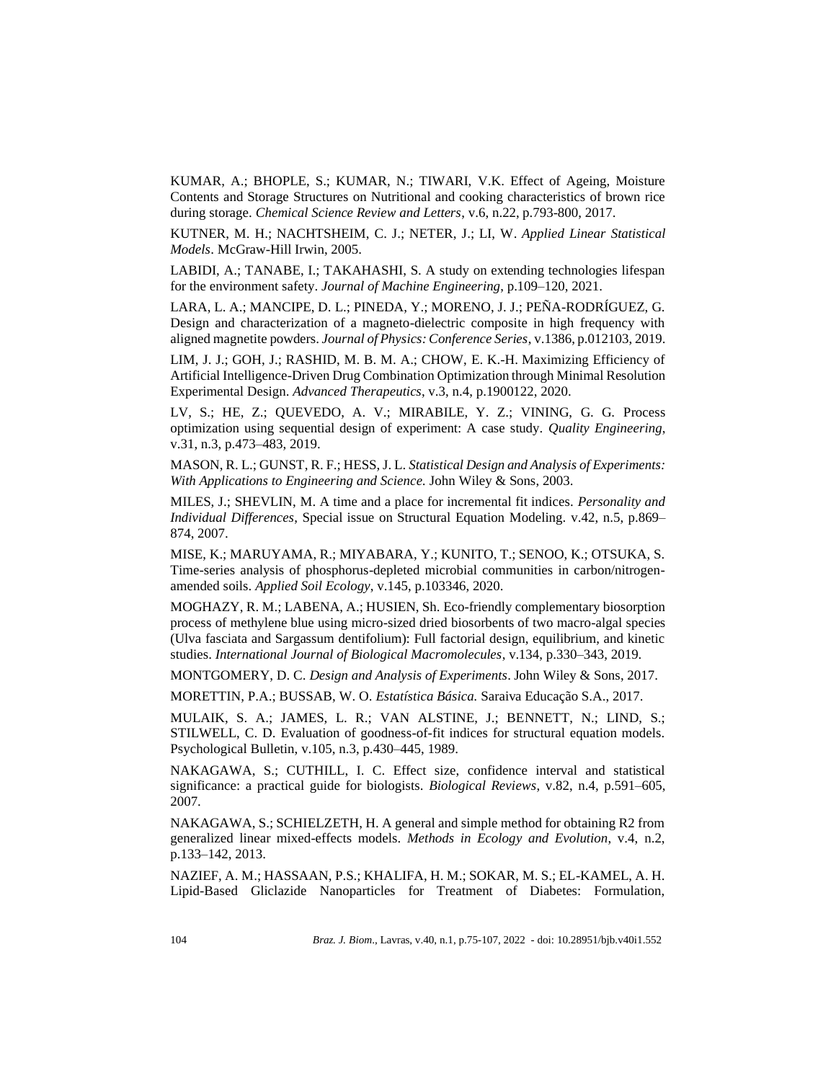KUMAR, A.; BHOPLE, S.; KUMAR, N.; TIWARI, V.K. Effect of Ageing, Moisture Contents and Storage Structures on Nutritional and cooking characteristics of brown rice during storage. *Chemical Science Review and Letters*, v.6, n.22, p.793-800, 2017.

KUTNER, M. H.; NACHTSHEIM, C. J.; NETER, J.; LI, W. *Applied Linear Statistical Models*. McGraw-Hill Irwin, 2005.

LABIDI, A.; TANABE, I.; TAKAHASHI, S. A study on extending technologies lifespan for the environment safety. *Journal of Machine Engineering*, p.109–120, 2021.

LARA, L. A.; MANCIPE, D. L.; PINEDA, Y.; MORENO, J. J.; PEÑA-RODRÍGUEZ, G. Design and characterization of a magneto-dielectric composite in high frequency with aligned magnetite powders. *Journal of Physics: Conference Series*, v.1386, p.012103, 2019.

LIM, J. J.; GOH, J.; RASHID, M. B. M. A.; CHOW, E. K.-H. Maximizing Efficiency of Artificial Intelligence-Driven Drug Combination Optimization through Minimal Resolution Experimental Design. *Advanced Therapeutics*, v.3, n.4, p.1900122, 2020.

LV, S.; HE, Z.; QUEVEDO, A. V.; MIRABILE, Y. Z.; VINING, G. G. Process optimization using sequential design of experiment: A case study. *Quality Engineering*, v.31, n.3, p.473–483, 2019.

MASON, R. L.; GUNST, R. F.; HESS, J. L. *Statistical Design and Analysis of Experiments: With Applications to Engineering and Science.* John Wiley & Sons, 2003.

MILES, J.; SHEVLIN, M. A time and a place for incremental fit indices. *Personality and Individual Differences*, Special issue on Structural Equation Modeling. v.42, n.5, p.869– 874, 2007.

MISE, K.; MARUYAMA, R.; MIYABARA, Y.; KUNITO, T.; SENOO, K.; OTSUKA, S. Time-series analysis of phosphorus-depleted microbial communities in carbon/nitrogenamended soils. *Applied Soil Ecology*, v.145, p.103346, 2020.

MOGHAZY, R. M.; LABENA, A.; HUSIEN, Sh. Eco-friendly complementary biosorption process of methylene blue using micro-sized dried biosorbents of two macro-algal species (Ulva fasciata and Sargassum dentifolium): Full factorial design, equilibrium, and kinetic studies. *International Journal of Biological Macromolecules*, v.134, p.330–343, 2019.

MONTGOMERY, D. C. *Design and Analysis of Experiments*. John Wiley & Sons, 2017.

MORETTIN, P.A.; BUSSAB, W. O. *Estatística Básica.* Saraiva Educação S.A., 2017.

MULAIK, S. A.; JAMES, L. R.; VAN ALSTINE, J.; BENNETT, N.; LIND, S.; STILWELL, C. D. Evaluation of goodness-of-fit indices for structural equation models. Psychological Bulletin, v.105, n.3, p.430–445, 1989.

NAKAGAWA, S.; CUTHILL, I. C. Effect size, confidence interval and statistical significance: a practical guide for biologists. *Biological Reviews*, v.82, n.4, p.591–605, 2007.

NAKAGAWA, S.; SCHIELZETH, H. A general and simple method for obtaining R2 from generalized linear mixed-effects models. *Methods in Ecology and Evolution*, v.4, n.2, p.133–142, 2013.

NAZIEF, A. M.; HASSAAN, P.S.; KHALIFA, H. M.; SOKAR, M. S.; EL-KAMEL, A. H. Lipid-Based Gliclazide Nanoparticles for Treatment of Diabetes: Formulation,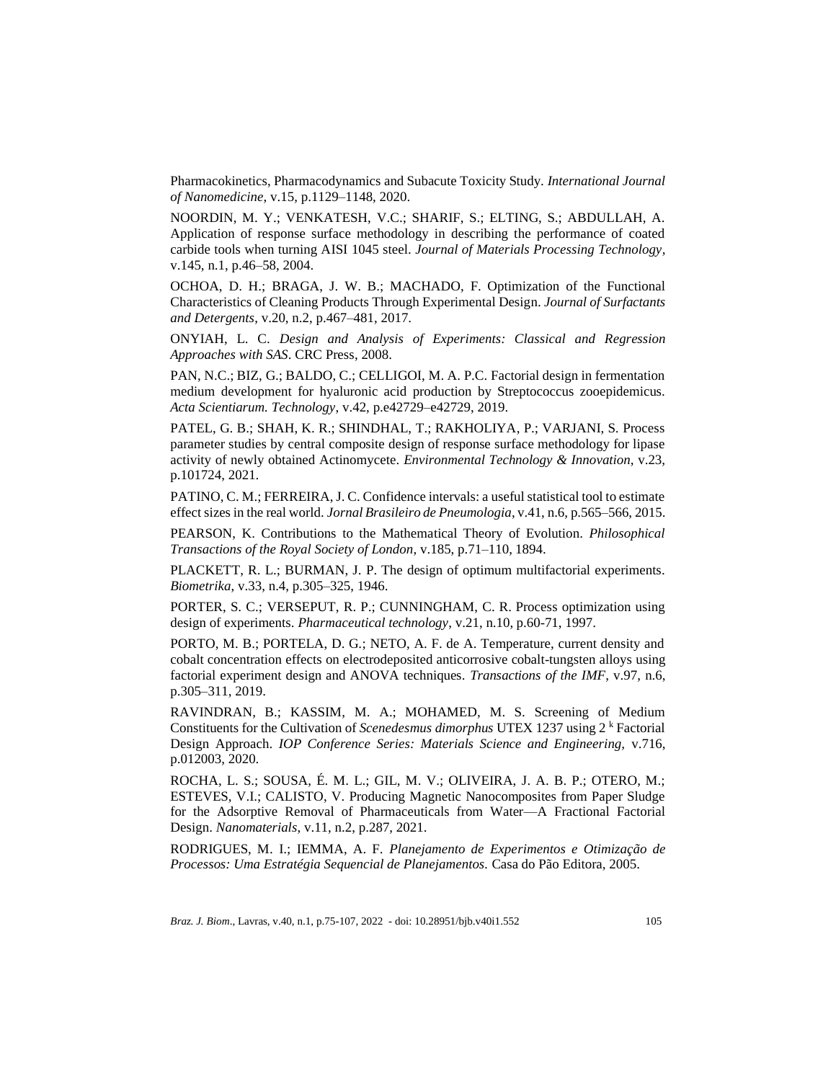Pharmacokinetics, Pharmacodynamics and Subacute Toxicity Study. *International Journal of Nanomedicine*, v.15, p.1129–1148, 2020.

NOORDIN, M. Y.; VENKATESH, V.C.; SHARIF, S.; ELTING, S.; ABDULLAH, A. Application of response surface methodology in describing the performance of coated carbide tools when turning AISI 1045 steel. *Journal of Materials Processing Technology*, v.145, n.1, p.46–58, 2004.

OCHOA, D. H.; BRAGA, J. W. B.; MACHADO, F. Optimization of the Functional Characteristics of Cleaning Products Through Experimental Design. *Journal of Surfactants and Detergents*, v.20, n.2, p.467–481, 2017.

ONYIAH, L. C. *Design and Analysis of Experiments: Classical and Regression Approaches with SAS*. CRC Press, 2008.

PAN, N.C.; BIZ, G.; BALDO, C.; CELLIGOI, M. A. P.C. Factorial design in fermentation medium development for hyaluronic acid production by Streptococcus zooepidemicus. *Acta Scientiarum. Technology*, v.42, p.e42729–e42729, 2019.

PATEL, G. B.; SHAH, K. R.; SHINDHAL, T.; RAKHOLIYA, P.; VARJANI, S. Process parameter studies by central composite design of response surface methodology for lipase activity of newly obtained Actinomycete. *Environmental Technology & Innovation*, v.23, p.101724, 2021.

PATINO, C. M.; FERREIRA, J. C. Confidence intervals: a useful statistical tool to estimate effect sizes in the real world. *Jornal Brasileiro de Pneumologia*, v.41, n.6, p.565–566, 2015.

PEARSON, K. Contributions to the Mathematical Theory of Evolution. *Philosophical Transactions of the Royal Society of London*, v.185, p.71–110, 1894.

PLACKETT, R. L.; BURMAN, J. P. The design of optimum multifactorial experiments. *Biometrika*, v.33, n.4, p.305–325, 1946.

PORTER, S. C.; VERSEPUT, R. P.; CUNNINGHAM, C. R. Process optimization using design of experiments. *Pharmaceutical technology*, v.21, n.10, p.60-71, 1997.

PORTO, M. B.; PORTELA, D. G.; NETO, A. F. de A. Temperature, current density and cobalt concentration effects on electrodeposited anticorrosive cobalt-tungsten alloys using factorial experiment design and ANOVA techniques. *Transactions of the IMF*, v.97, n.6, p.305–311, 2019.

RAVINDRAN, B.; KASSIM, M. A.; MOHAMED, M. S. Screening of Medium Constituents for the Cultivation of *Scenedesmus dimorphus* UTEX 1237 using 2<sup>k</sup> Factorial Design Approach. *IOP Conference Series: Materials Science and Engineering,* v.716, p.012003, 2020.

ROCHA, L. S.; SOUSA, É. M. L.; GIL, M. V.; OLIVEIRA, J. A. B. P.; OTERO, M.; ESTEVES, V.I.; CALISTO, V. Producing Magnetic Nanocomposites from Paper Sludge for the Adsorptive Removal of Pharmaceuticals from Water—A Fractional Factorial Design. *Nanomaterials*, v.11, n.2, p.287, 2021.

RODRIGUES, M. I.; IEMMA, A. F. *Planejamento de Experimentos e Otimização de Processos: Uma Estratégia Sequencial de Planejamentos.* Casa do Pão Editora, 2005.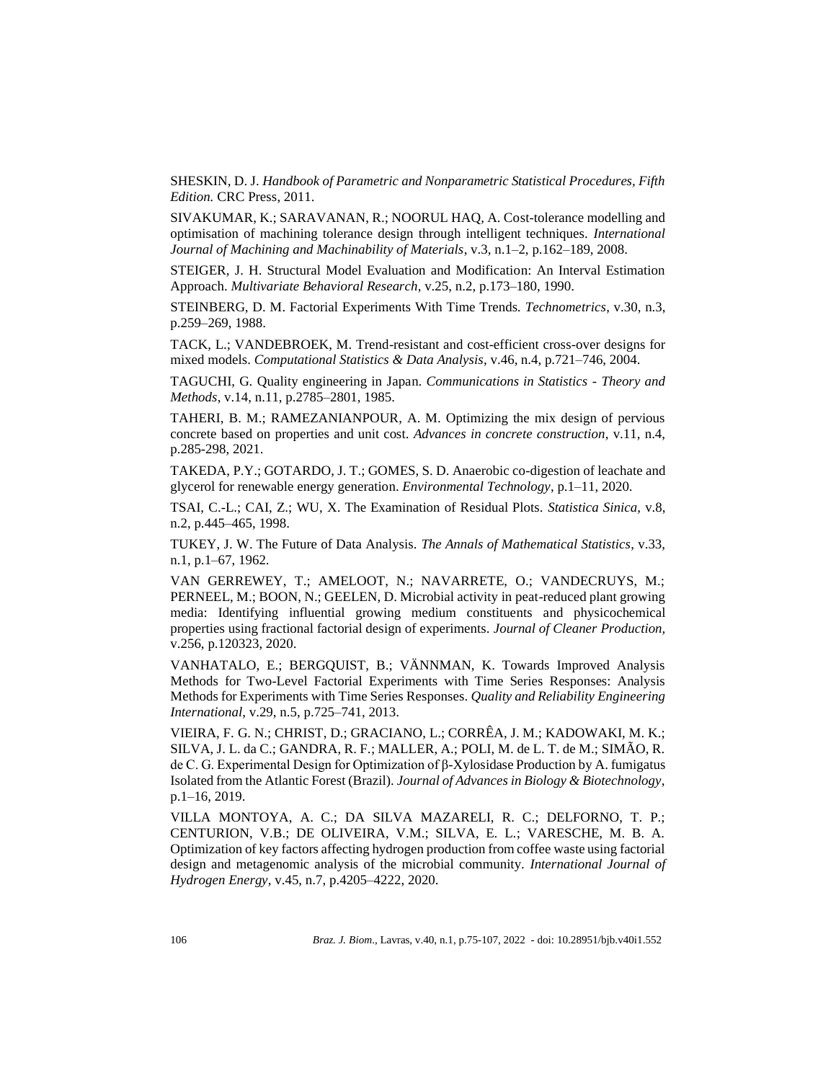SHESKIN, D. J. *Handbook of Parametric and Nonparametric Statistical Procedures, Fifth Edition.* CRC Press, 2011.

SIVAKUMAR, K.; SARAVANAN, R.; NOORUL HAQ, A. Cost-tolerance modelling and optimisation of machining tolerance design through intelligent techniques. *International Journal of Machining and Machinability of Materials*, v.3, n.1–2, p.162–189, 2008.

STEIGER, J. H. Structural Model Evaluation and Modification: An Interval Estimation Approach. *Multivariate Behavioral Research*, v.25, n.2, p.173–180, 1990.

STEINBERG, D. M. Factorial Experiments With Time Trends. *Technometrics*, v.30, n.3, p.259–269, 1988.

TACK, L.; VANDEBROEK, M. Trend-resistant and cost-efficient cross-over designs for mixed models. *Computational Statistics & Data Analysis*, v.46, n.4, p.721–746, 2004.

TAGUCHI, G. Quality engineering in Japan. *Communications in Statistics - Theory and Methods*, v.14, n.11, p.2785–2801, 1985.

TAHERI, B. M.; RAMEZANIANPOUR, A. M. Optimizing the mix design of pervious concrete based on properties and unit cost. *Advances in concrete construction*, v.11, n.4, p.285-298, 2021.

TAKEDA, P.Y.; GOTARDO, J. T.; GOMES, S. D. Anaerobic co-digestion of leachate and glycerol for renewable energy generation. *Environmental Technology*, p.1–11, 2020.

TSAI, C.-L.; CAI, Z.; WU, X. The Examination of Residual Plots. *Statistica Sinica*, v.8, n.2, p.445–465, 1998.

TUKEY, J. W. The Future of Data Analysis. *The Annals of Mathematical Statistics*, v.33, n.1, p.1–67, 1962.

VAN GERREWEY, T.; AMELOOT, N.; NAVARRETE, O.; VANDECRUYS, M.; PERNEEL, M.; BOON, N.; GEELEN, D. Microbial activity in peat-reduced plant growing media: Identifying influential growing medium constituents and physicochemical properties using fractional factorial design of experiments. *Journal of Cleaner Production,* v.256, p.120323, 2020.

VANHATALO, E.; BERGQUIST, B.; VÄNNMAN, K. Towards Improved Analysis Methods for Two-Level Factorial Experiments with Time Series Responses: Analysis Methods for Experiments with Time Series Responses. *Quality and Reliability Engineering International*, v.29, n.5, p.725–741, 2013.

VIEIRA, F. G. N.; CHRIST, D.; GRACIANO, L.; CORRÊA, J. M.; KADOWAKI, M. K.; SILVA, J. L. da C.; GANDRA, R. F.; MALLER, A.; POLI, M. de L. T. de M.; SIMÃO, R. de C. G. Experimental Design for Optimization of β-Xylosidase Production by A. fumigatus Isolated from the Atlantic Forest (Brazil). *Journal of Advances in Biology & Biotechnology*, p.1–16, 2019.

VILLA MONTOYA, A. C.; DA SILVA MAZARELI, R. C.; DELFORNO, T. P.; CENTURION, V.B.; DE OLIVEIRA, V.M.; SILVA, E. L.; VARESCHE, M. B. A. Optimization of key factors affecting hydrogen production from coffee waste using factorial design and metagenomic analysis of the microbial community. *International Journal of Hydrogen Energy*, v.45, n.7, p.4205–4222, 2020.